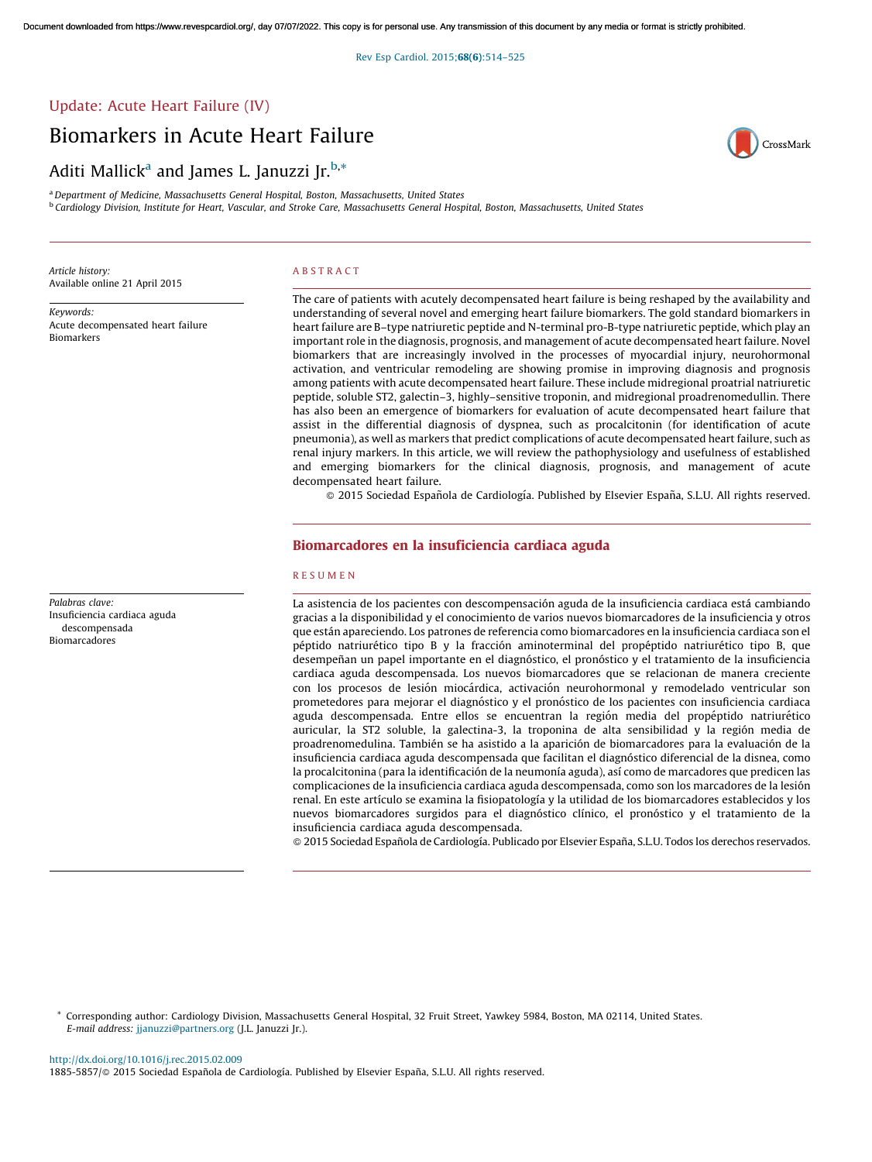Rev Esp Cardiol. 2015;68(6)[:514–525](http://dx.doi.org/10.1016/j.rec.2015.02.009)

## Update: Acute Heart Failure (IV)

# Biomarkers in Acute Heart Failure

## Aditi Mallick<sup>a</sup> and James L. Januzzi Jr.<sup>b,</sup>\*

<sup>a</sup>*Department of Medicine, Massachusetts General Hospital, Boston, Massachusetts, United States* <sup>b</sup> Cardiology Division, Institute for Heart, Vascular, and Stroke Care, Massachusetts General Hospital, Boston, Massachusetts, United States

*Article history:* Available online 21 April 2015

*Keywords:* Acute decompensated heart failure Biomarkers

### A B S T R A C T

The care of patients with acutely decompensated heart failure is being reshaped by the availability and understanding of several novel and emerging heart failure biomarkers. The gold standard biomarkers in heart failure are B-type natriuretic peptide and N-terminal pro-B-type natriuretic peptide, which play an important role in the diagnosis, prognosis, and management of acute decompensated heart failure. Novel biomarkers that are increasingly involved in the processes of myocardial injury, neurohormonal activation, and ventricular remodeling are showing promise in improving diagnosis and prognosis among patients with acute decompensated heart failure. These include midregional proatrial natriuretic peptide, soluble ST2, galectin–3, highly–sensitive troponin, and midregional proadrenomedullin. There has also been an emergence of biomarkers for evaluation of acute decompensated heart failure that assist in the differential diagnosis of dyspnea, such as procalcitonin (for identification of acute pneumonia), as well as markers that predict complications of acute decompensated heart failure, such as renal injury markers. In this article, we will review the pathophysiology and usefulness of established and emerging biomarkers for the clinical diagnosis, prognosis, and management of acute decompensated heart failure.

 $\odot$  2015 Sociedad Española de Cardiología. Published by Elsevier España, S.L.U. All rights reserved.

## Biomarcadores en la insuficiencia cardiaca aguda

### R E S U M E N

La asistencia de los pacientes con descompensación aguda de la insuficiencia cardiaca está cambiando gracias a la disponibilidad y el conocimiento de varios nuevos biomarcadores de la insuficiencia y otros que esta´n apareciendo. Los patrones de referencia como biomarcadores en la insuficiencia cardiaca son el péptido natriurético tipo B y la fracción aminoterminal del propéptido natriurético tipo B, que desempeñan un papel importante en el diagnóstico, el pronóstico y el tratamiento de la insuficiencia cardiaca aguda descompensada. Los nuevos biomarcadores que se relacionan de manera creciente con los procesos de lesión miocárdica, activación neurohormonal y remodelado ventricular son prometedores para mejorar el diagnóstico y el pronóstico de los pacientes con insuficiencia cardiaca aguda descompensada. Entre ellos se encuentran la región media del propéptido natriurético auricular, la ST2 soluble, la galectina-3, la troponina de alta sensibilidad y la región media de proadrenomedulina. También se ha asistido a la aparición de biomarcadores para la evaluación de la insuficiencia cardiaca aguda descompensada que facilitan el diagnóstico diferencial de la disnea, como la procalcitonina (para la identificación de la neumonía aguda), así como de marcadores que predicen las complicaciones de la insuficiencia cardiaca aguda descompensada, como son los marcadores de la lesión renal. En este artículo se examina la fisiopatología y la utilidad de los biomarcadores establecidos y los nuevos biomarcadores surgidos para el diagnóstico clínico, el pronóstico y el tratamiento de la insuficiencia cardiaca aguda descompensada.

 $\odot$  2015 Sociedad Española de Cardiología. Publicado por Elsevier España, S.L.U. Todos los derechos reservados.

\* Corresponding author: Cardiology Division, Massachusetts General Hospital, 32 Fruit Street, Yawkey 5984, Boston, MA 02114, United States. *E-mail address:* [jjanuzzi@partners.org](mailto:jjanuzzi@partners.org) (J.L. Januzzi Jr.).

<http://dx.doi.org/10.1016/j.rec.2015.02.009>

1885-5857/@ 2015 Sociedad Española de Cardiología. Published by Elsevier España, S.L.U. All rights reserved.

*Palabras clave:* Insuficiencia cardiaca aguda descompensada Biomarcadores

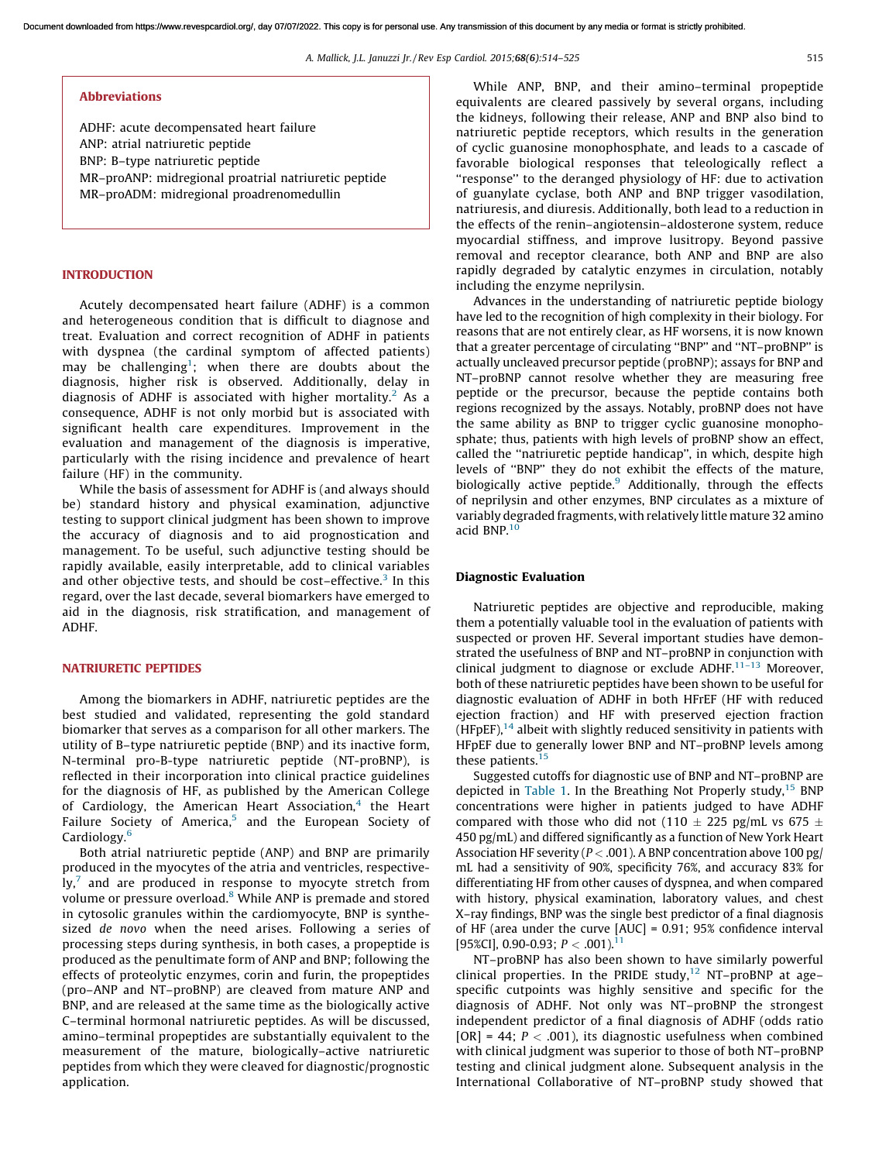Abbreviations

ADHF: acute decompensated heart failure ANP: atrial natriuretic peptide BNP: B–type natriuretic peptide MR–proANP: midregional proatrial natriuretic peptide MR–proADM: midregional proadrenomedullin

#### INTRODUCTION

Acutely decompensated heart failure (ADHF) is a common and heterogeneous condition that is difficult to diagnose and treat. Evaluation and correct recognition of ADHF in patients with dyspnea (the cardinal symptom of affected patients) may be challenging $^1$  $^1$ ; when there are doubts about the diagnosis, higher risk is observed. Additionally, delay in diagnosis of ADHF is associated with higher mortality.<sup>[2](#page-9-0)</sup> As a consequence, ADHF is not only morbid but is associated with significant health care expenditures. Improvement in the evaluation and management of the diagnosis is imperative, particularly with the rising incidence and prevalence of heart failure (HF) in the community.

While the basis of assessment for ADHF is (and always should be) standard history and physical examination, adjunctive testing to support clinical judgment has been shown to improve the accuracy of diagnosis and to aid prognostication and management. To be useful, such adjunctive testing should be rapidly available, easily interpretable, add to clinical variables and other objective tests, and should be cost–effective.<sup>[3](#page-9-0)</sup> In this regard, over the last decade, several biomarkers have emerged to aid in the diagnosis, risk stratification, and management of ADHF.

## NATRIURETIC PEPTIDES

Among the biomarkers in ADHF, natriuretic peptides are the best studied and validated, representing the gold standard biomarker that serves as a comparison for all other markers. The utility of B–type natriuretic peptide (BNP) and its inactive form, N-terminal pro-B-type natriuretic peptide (NT-proBNP), is reflected in their incorporation into clinical practice guidelines for the diagnosis of HF, as published by the American College of Cardiology, the American Heart Association,<sup>[4](#page-9-0)</sup> the Heart Failure Society of America,<sup>[5](#page-9-0)</sup> and the European Society of Cardiology.<sup>[6](#page-9-0)</sup>

Both atrial natriuretic peptide (ANP) and BNP are primarily produced in the myocytes of the atria and ventricles, respectively, $^7$  $^7$  and are produced in response to myocyte stretch from volume or pressure overload.<sup>[8](#page-9-0)</sup> While ANP is premade and stored in cytosolic granules within the cardiomyocyte, BNP is synthesized *de novo* when the need arises. Following a series of processing steps during synthesis, in both cases, a propeptide is produced as the penultimate form of ANP and BNP; following the effects of proteolytic enzymes, corin and furin, the propeptides (pro–ANP and NT–proBNP) are cleaved from mature ANP and BNP, and are released at the same time as the biologically active C–terminal hormonal natriuretic peptides. As will be discussed, amino–terminal propeptides are substantially equivalent to the measurement of the mature, biologically–active natriuretic peptides from which they were cleaved for diagnostic/prognostic application.

While ANP, BNP, and their amino–terminal propeptide equivalents are cleared passively by several organs, including the kidneys, following their release, ANP and BNP also bind to natriuretic peptide receptors, which results in the generation of cyclic guanosine monophosphate, and leads to a cascade of favorable biological responses that teleologically reflect a ''response'' to the deranged physiology of HF: due to activation of guanylate cyclase, both ANP and BNP trigger vasodilation, natriuresis, and diuresis. Additionally, both lead to a reduction in the effects of the renin–angiotensin–aldosterone system, reduce myocardial stiffness, and improve lusitropy. Beyond passive removal and receptor clearance, both ANP and BNP are also rapidly degraded by catalytic enzymes in circulation, notably including the enzyme neprilysin.

Advances in the understanding of natriuretic peptide biology have led to the recognition of high complexity in their biology. For reasons that are not entirely clear, as HF worsens, it is now known that a greater percentage of circulating ''BNP'' and ''NT–proBNP'' is actually uncleaved precursor peptide (proBNP); assays for BNP and NT–proBNP cannot resolve whether they are measuring free peptide or the precursor, because the peptide contains both regions recognized by the assays. Notably, proBNP does not have the same ability as BNP to trigger cyclic guanosine monophosphate; thus, patients with high levels of proBNP show an effect, called the ''natriuretic peptide handicap'', in which, despite high levels of ''BNP'' they do not exhibit the effects of the mature, biologically active peptide.<sup>[9](#page-9-0)</sup> Additionally, through the effects of neprilysin and other enzymes, BNP circulates as a mixture of variably degraded fragments, with relatively little mature 32 amino acid BNP.[10](#page-9-0)

### Diagnostic Evaluation

Natriuretic peptides are objective and reproducible, making them a potentially valuable tool in the evaluation of patients with suspected or proven HF. Several important studies have demonstrated the usefulness of BNP and NT–proBNP in conjunction with clinical judgment to diagnose or exclude  $ADHF^{11-13}$  Moreover, both of these natriuretic peptides have been shown to be useful for diagnostic evaluation of ADHF in both HFrEF (HF with reduced ejection fraction) and HF with preserved ejection fraction  $(HFpEF)$ ,<sup>[14](#page-9-0)</sup> albeit with slightly reduced sensitivity in patients with HFpEF due to generally lower BNP and NT–proBNP levels among these patients.<sup>[15](#page-9-0)</sup>

Suggested cutoffs for diagnostic use of BNP and NT–proBNP are depicted in [Table](#page-2-0) 1. In the Breathing Not Properly study,<sup>[15](#page-9-0)</sup> BNP concentrations were higher in patients judged to have ADHF compared with those who did not (110  $\pm$  225 pg/mL vs 675  $\pm$ 450 pg/mL) and differed significantly as a function of New York Heart Association HF severity (*P* < .001). A BNP concentration above 100 pg/ mL had a sensitivity of 90%, specificity 76%, and accuracy 83% for differentiating HF from other causes of dyspnea, and when compared with history, physical examination, laboratory values, and chest X–ray findings, BNP was the single best predictor of a final diagnosis of HF (area under the curve [AUC] = 0.91; 95% confidence interval [95%CI], 0.90-0.93; *P* < .001).[11](#page-9-0)

NT–proBNP has also been shown to have similarly powerful clinical properties. In the PRIDE study,<sup>[12](#page-9-0)</sup> NT–proBNP at age– specific cutpoints was highly sensitive and specific for the diagnosis of ADHF. Not only was NT–proBNP the strongest independent predictor of a final diagnosis of ADHF (odds ratio  $[OR] = 44$ ;  $P < .001$ ), its diagnostic usefulness when combined with clinical judgment was superior to those of both NT–proBNP testing and clinical judgment alone. Subsequent analysis in the International Collaborative of NT–proBNP study showed that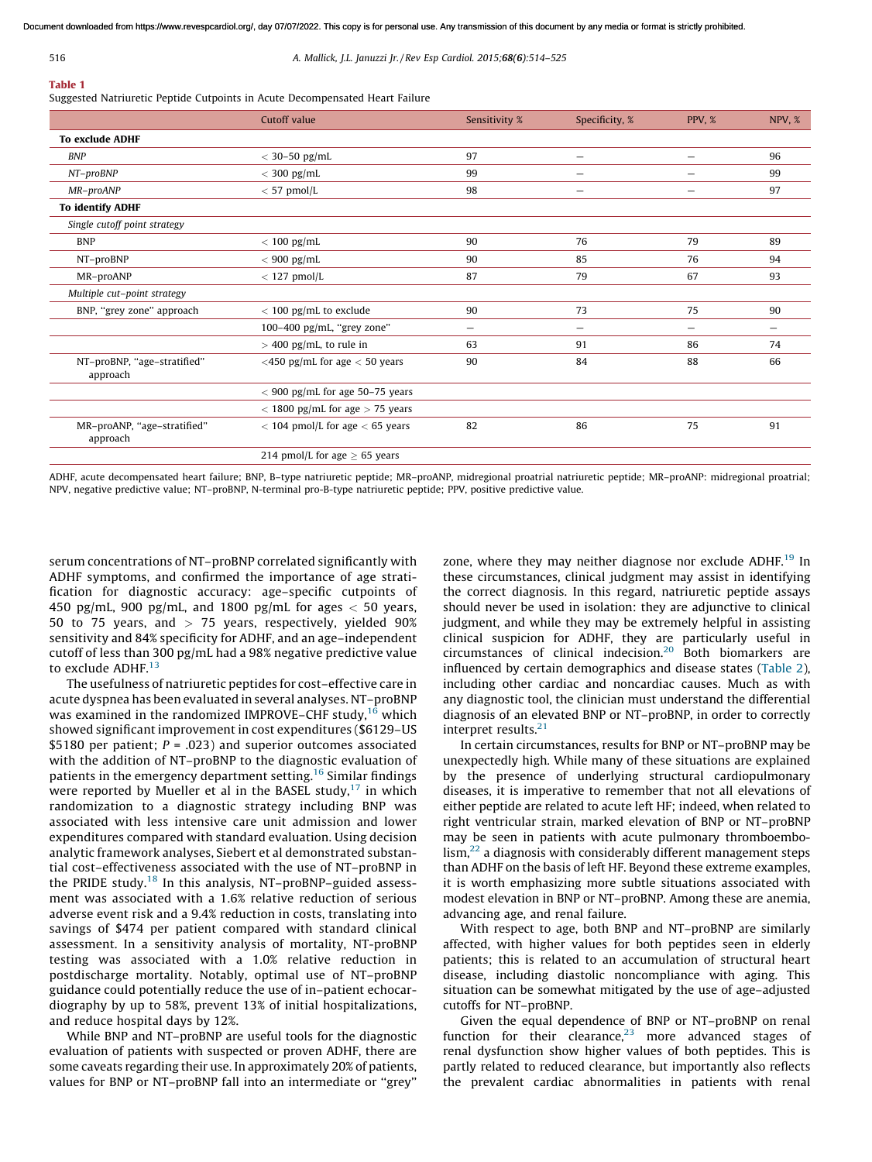#### <span id="page-2-0"></span>516 *A. Mallick, J.L. Januzzi Jr. / Rev Esp Cardiol. 2015;*68(6)*:514–525*

## Table 1

Suggested Natriuretic Peptide Cutpoints in Acute Decompensated Heart Failure

|                                         | Cutoff value                        | Sensitivity %     | Specificity, %    | PPV, %            | NPV, % |
|-----------------------------------------|-------------------------------------|-------------------|-------------------|-------------------|--------|
| <b>To exclude ADHF</b>                  |                                     |                   |                   |                   |        |
| <b>BNP</b>                              | $<$ 30-50 pg/mL                     | 97                | —                 | —                 | 96     |
| NT-proBNP                               | $<$ 300 pg/mL                       | 99                | —                 |                   | 99     |
| MR-proANP                               | $<$ 57 pmol/L                       | 98                | —                 |                   | 97     |
| <b>To identify ADHF</b>                 |                                     |                   |                   |                   |        |
| Single cutoff point strategy            |                                     |                   |                   |                   |        |
| <b>BNP</b>                              | $< 100$ pg/mL                       | 90                | 76                | 79                | 89     |
| NT-proBNP                               | $<$ 900 pg/mL                       | 90                | 85                | 76                | 94     |
| MR-proANP                               | $<$ 127 pmol/L                      | 87                | 79                | 67                | 93     |
| Multiple cut-point strategy             |                                     |                   |                   |                   |        |
| BNP, "grey zone" approach               | $<$ 100 pg/mL to exclude            | 90                | 73                | 75                | 90     |
|                                         | 100-400 pg/mL, "grey zone"          | $\qquad \qquad -$ | $\qquad \qquad -$ | $\qquad \qquad -$ | —      |
|                                         | $>$ 400 pg/mL, to rule in           | 63                | 91                | 86                | 74     |
| NT-proBNP, "age-stratified"<br>approach | $<$ 450 pg/mL for age $<$ 50 years  | 90                | 84                | 88                | 66     |
|                                         | $<$ 900 pg/mL for age 50–75 years   |                   |                   |                   |        |
|                                         | $<$ 1800 pg/mL for age $>$ 75 years |                   |                   |                   |        |
| MR-proANP, "age-stratified"<br>approach | $<$ 104 pmol/L for age $<$ 65 years | 82                | 86                | 75                | 91     |
|                                         | 214 pmol/L for age $\geq$ 65 years  |                   |                   |                   |        |

ADHF, acute decompensated heart failure; BNP, B–type natriuretic peptide; MR–proANP, midregional proatrial natriuretic peptide; MR–proANP: midregional proatrial; NPV, negative predictive value; NT–proBNP, N-terminal pro-B-type natriuretic peptide; PPV, positive predictive value.

serum concentrations of NT–proBNP correlated significantly with ADHF symptoms, and confirmed the importance of age stratification for diagnostic accuracy: age–specific cutpoints of 450 pg/mL, 900 pg/mL, and 1800 pg/mL for ages  $<$  50 years, 50 to 75 years, and  $>$  75 years, respectively, yielded 90% sensitivity and 84% specificity for ADHF, and an age–independent cutoff of less than 300 pg/mL had a 98% negative predictive value to exclude ADHF.<sup>[13](#page-9-0)</sup>

The usefulness of natriuretic peptides for cost–effective care in acute dyspnea has been evaluated in several analyses. NT–proBNP was examined in the randomized IMPROVE–CHF study, $^{16}$  $^{16}$  $^{16}$  which showed significant improvement in cost expenditures (\$6129–US \$5180 per patient;  $P = .023$ ) and superior outcomes associated with the addition of NT–proBNP to the diagnostic evaluation of patients in the emergency department setting.<sup>[16](#page-9-0)</sup> Similar findings were reported by Mueller et al in the BASEL study, $17$  in which randomization to a diagnostic strategy including BNP was associated with less intensive care unit admission and lower expenditures compared with standard evaluation. Using decision analytic framework analyses, Siebert et al demonstrated substantial cost–effectiveness associated with the use of NT–proBNP in the PRIDE study.<sup>[18](#page-9-0)</sup> In this analysis, NT-proBNP-guided assessment was associated with a 1.6% relative reduction of serious adverse event risk and a 9.4% reduction in costs, translating into savings of \$474 per patient compared with standard clinical assessment. In a sensitivity analysis of mortality, NT-proBNP testing was associated with a 1.0% relative reduction in postdischarge mortality. Notably, optimal use of NT–proBNP guidance could potentially reduce the use of in–patient echocardiography by up to 58%, prevent 13% of initial hospitalizations, and reduce hospital days by 12%.

While BNP and NT–proBNP are useful tools for the diagnostic evaluation of patients with suspected or proven ADHF, there are some caveats regarding their use. In approximately 20% of patients, values for BNP or NT–proBNP fall into an intermediate or ''grey'' zone, where they may neither diagnose nor exclude  $ADHF<sup>19</sup>$  $ADHF<sup>19</sup>$  $ADHF<sup>19</sup>$  In these circumstances, clinical judgment may assist in identifying the correct diagnosis. In this regard, natriuretic peptide assays should never be used in isolation: they are adjunctive to clinical judgment, and while they may be extremely helpful in assisting clinical suspicion for ADHF, they are particularly useful in circumstances of clinical indecision.[20](#page-9-0) Both biomarkers are influenced by certain demographics and disease states [\(Table](#page-3-0) 2), including other cardiac and noncardiac causes. Much as with any diagnostic tool, the clinician must understand the differential diagnosis of an elevated BNP or NT–proBNP, in order to correctly interpret results. $21$ 

In certain circumstances, results for BNP or NT–proBNP may be unexpectedly high. While many of these situations are explained by the presence of underlying structural cardiopulmonary diseases, it is imperative to remember that not all elevations of either peptide are related to acute left HF; indeed, when related to right ventricular strain, marked elevation of BNP or NT–proBNP may be seen in patients with acute pulmonary thromboembo- $\lim_{n \to \infty}$  a diagnosis with considerably different management steps than ADHF on the basis of left HF. Beyond these extreme examples, it is worth emphasizing more subtle situations associated with modest elevation in BNP or NT–proBNP. Among these are anemia, advancing age, and renal failure.

With respect to age, both BNP and NT–proBNP are similarly affected, with higher values for both peptides seen in elderly patients; this is related to an accumulation of structural heart disease, including diastolic noncompliance with aging. This situation can be somewhat mitigated by the use of age–adjusted cutoffs for NT–proBNP.

Given the equal dependence of BNP or NT–proBNP on renal function for their clearance, $23$  more advanced stages of renal dysfunction show higher values of both peptides. This is partly related to reduced clearance, but importantly also reflects the prevalent cardiac abnormalities in patients with renal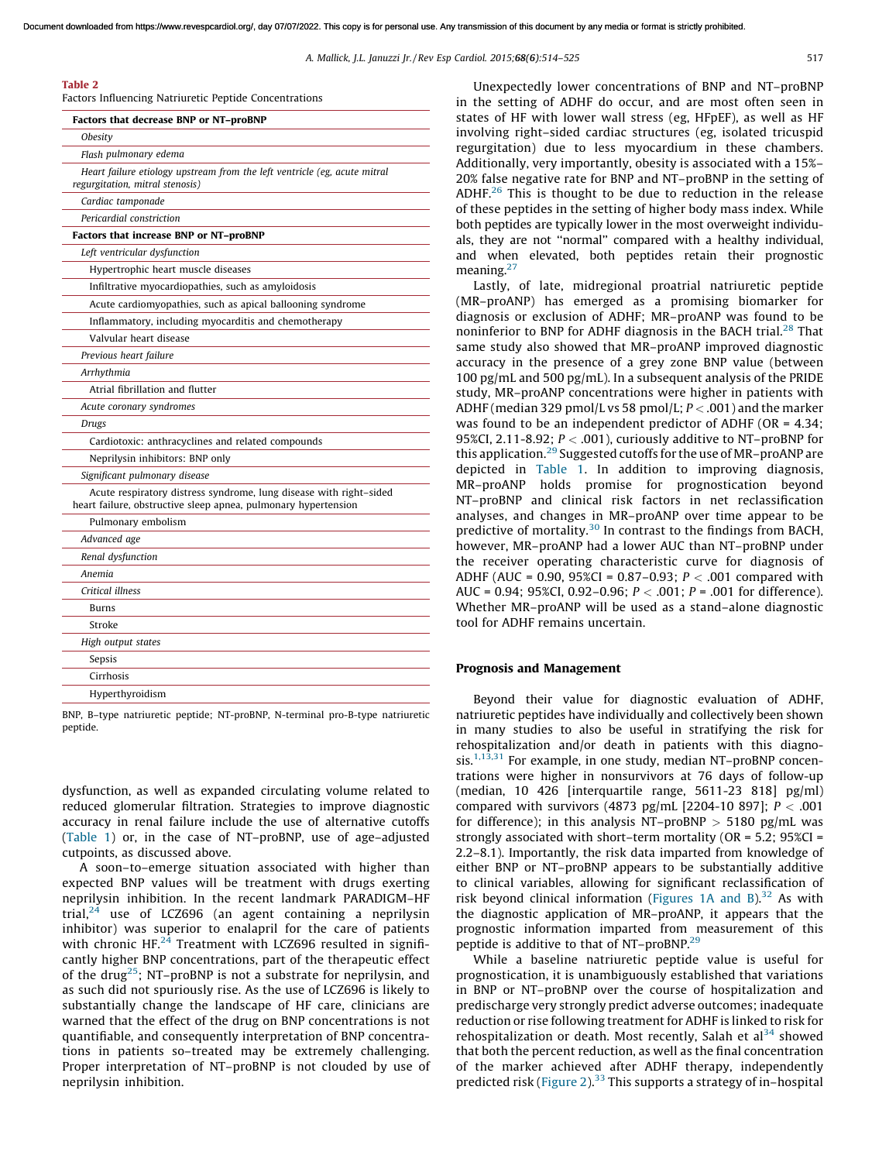<span id="page-3-0"></span>

|            | <b>Factors that decrease BNP or NT-proBNP</b>                                                                                        |
|------------|--------------------------------------------------------------------------------------------------------------------------------------|
| Obesity    |                                                                                                                                      |
|            | Flash pulmonary edema                                                                                                                |
|            | Heart failure etiology upstream from the left ventricle (eg, acute mitral<br>regurgitation, mitral stenosis)                         |
|            | Cardiac tamponade                                                                                                                    |
|            | Pericardial constriction                                                                                                             |
|            | <b>Factors that increase BNP or NT-proBNP</b>                                                                                        |
|            | Left ventricular dysfunction                                                                                                         |
|            | Hypertrophic heart muscle diseases                                                                                                   |
|            | Infiltrative myocardiopathies, such as amyloidosis                                                                                   |
|            | Acute cardiomyopathies, such as apical ballooning syndrome                                                                           |
|            | Inflammatory, including myocarditis and chemotherapy                                                                                 |
|            | Valvular heart disease                                                                                                               |
|            | Previous heart failure                                                                                                               |
| Arrhythmia |                                                                                                                                      |
|            | Atrial fibrillation and flutter                                                                                                      |
|            | Acute coronary syndromes                                                                                                             |
| Drugs      |                                                                                                                                      |
|            | Cardiotoxic: anthracyclines and related compounds                                                                                    |
|            | Neprilysin inhibitors: BNP only                                                                                                      |
|            | Significant pulmonary disease                                                                                                        |
|            | Acute respiratory distress syndrome, lung disease with right-sided<br>heart failure, obstructive sleep apnea, pulmonary hypertension |
|            | Pulmonary embolism                                                                                                                   |
|            | Advanced age                                                                                                                         |
|            | Renal dysfunction                                                                                                                    |
| Anemia     |                                                                                                                                      |
|            | Critical illness                                                                                                                     |
| Burns      |                                                                                                                                      |
| Stroke     |                                                                                                                                      |
|            | High output states                                                                                                                   |
| Sepsis     |                                                                                                                                      |
|            | Cirrhosis                                                                                                                            |
|            | Hyperthyroidism                                                                                                                      |

BNP, B–type natriuretic peptide; NT-proBNP, N-terminal pro-B-type natriuretic peptide.

dysfunction, as well as expanded circulating volume related to reduced glomerular filtration. Strategies to improve diagnostic accuracy in renal failure include the use of alternative cutoffs ([Table](#page-2-0) 1) or, in the case of NT–proBNP, use of age–adjusted cutpoints, as discussed above.

A soon–to–emerge situation associated with higher than expected BNP values will be treatment with drugs exerting neprilysin inhibition. In the recent landmark PARADIGM–HF trial, $24$  use of LCZ696 (an agent containing a neprilysin inhibitor) was superior to enalapril for the care of patients with chronic HF. $24$  Treatment with LCZ696 resulted in significantly higher BNP concentrations, part of the therapeutic effect of the drug<sup>[25](#page-9-0)</sup>; NT–proBNP is not a substrate for neprilysin, and as such did not spuriously rise. As the use of LCZ696 is likely to substantially change the landscape of HF care, clinicians are warned that the effect of the drug on BNP concentrations is not quantifiable, and consequently interpretation of BNP concentrations in patients so–treated may be extremely challenging. Proper interpretation of NT–proBNP is not clouded by use of neprilysin inhibition.

Unexpectedly lower concentrations of BNP and NT–proBNP in the setting of ADHF do occur, and are most often seen in states of HF with lower wall stress (eg, HFpEF), as well as HF involving right–sided cardiac structures (eg, isolated tricuspid regurgitation) due to less myocardium in these chambers. Additionally, very importantly, obesity is associated with a 15%– 20% false negative rate for BNP and NT–proBNP in the setting of ADHF. $^{26}$  $^{26}$  $^{26}$  This is thought to be due to reduction in the release of these peptides in the setting of higher body mass index. While both peptides are typically lower in the most overweight individuals, they are not ''normal'' compared with a healthy individual, and when elevated, both peptides retain their prognostic meaning.<sup>[27](#page-9-0)</sup>

Lastly, of late, midregional proatrial natriuretic peptide (MR–proANP) has emerged as a promising biomarker for diagnosis or exclusion of ADHF; MR–proANP was found to be noninferior to BNP for ADHF diagnosis in the BACH trial.<sup>[28](#page-9-0)</sup> That same study also showed that MR–proANP improved diagnostic accuracy in the presence of a grey zone BNP value (between 100 pg/mL and 500 pg/mL). In a subsequent analysis of the PRIDE study, MR–proANP concentrations were higher in patients with ADHF (median 329 pmol/L vs 58 pmol/L; *P* < .001) and the marker was found to be an independent predictor of ADHF (OR = 4.34; 95%CI, 2.11-8.92; *P* < .001), curiously additive to NT–proBNP for this application.[29](#page-9-0) Suggested cutoffs for the use of MR–proANP are depicted in [Table](#page-2-0) 1. In addition to improving diagnosis, MR–proANP holds promise for prognostication beyond NT–proBNP and clinical risk factors in net reclassification analyses, and changes in MR–proANP over time appear to be predictive of mortality.<sup>[30](#page-9-0)</sup> In contrast to the findings from BACH, however, MR–proANP had a lower AUC than NT–proBNP under the receiver operating characteristic curve for diagnosis of ADHF (AUC = 0.90, 95%CI = 0.87–0.93; *P* < .001 compared with AUC = 0.94; 95%CI, 0.92–0.96; *P* < .001; *P* = .001 for difference). Whether MR–proANP will be used as a stand–alone diagnostic tool for ADHF remains uncertain.

## Prognosis and Management

Beyond their value for diagnostic evaluation of ADHF, natriuretic peptides have individually and collectively been shown in many studies to also be useful in stratifying the risk for rehospitalization and/or death in patients with this diagno- $sis.^{1,13,31}$  $sis.^{1,13,31}$  $sis.^{1,13,31}$  For example, in one study, median NT–proBNP concentrations were higher in nonsurvivors at 76 days of follow-up (median, 10 426 [interquartile range, 5611-23 818] pg/ml) compared with survivors (4873 pg/mL [2204-10 897]; *P* < .001 for difference); in this analysis NT-proBNP  $>$  5180 pg/mL was strongly associated with short–term mortality (OR = 5.2; 95%CI = 2.2–8.1). Importantly, the risk data imparted from knowledge of either BNP or NT–proBNP appears to be substantially additive to clinical variables, allowing for significant reclassification of risk beyond clinical information [\(Figures](#page-4-0) 1A and B). $32$  As with the diagnostic application of MR–proANP, it appears that the prognostic information imparted from measurement of this peptide is additive to that of NT–proBNP.[29](#page-9-0)

While a baseline natriuretic peptide value is useful for prognostication, it is unambiguously established that variations in BNP or NT–proBNP over the course of hospitalization and predischarge very strongly predict adverse outcomes; inadequate reduction or rise following treatment for ADHF is linked to risk for rehospitalization or death. Most recently, Salah et al $^{34}$  $^{34}$  $^{34}$  showed that both the percent reduction, as well as the final concentration of the marker achieved after ADHF therapy, independently predicted risk ([Figure](#page-5-0) 2).<sup>[33](#page-9-0)</sup> This supports a strategy of in–hospital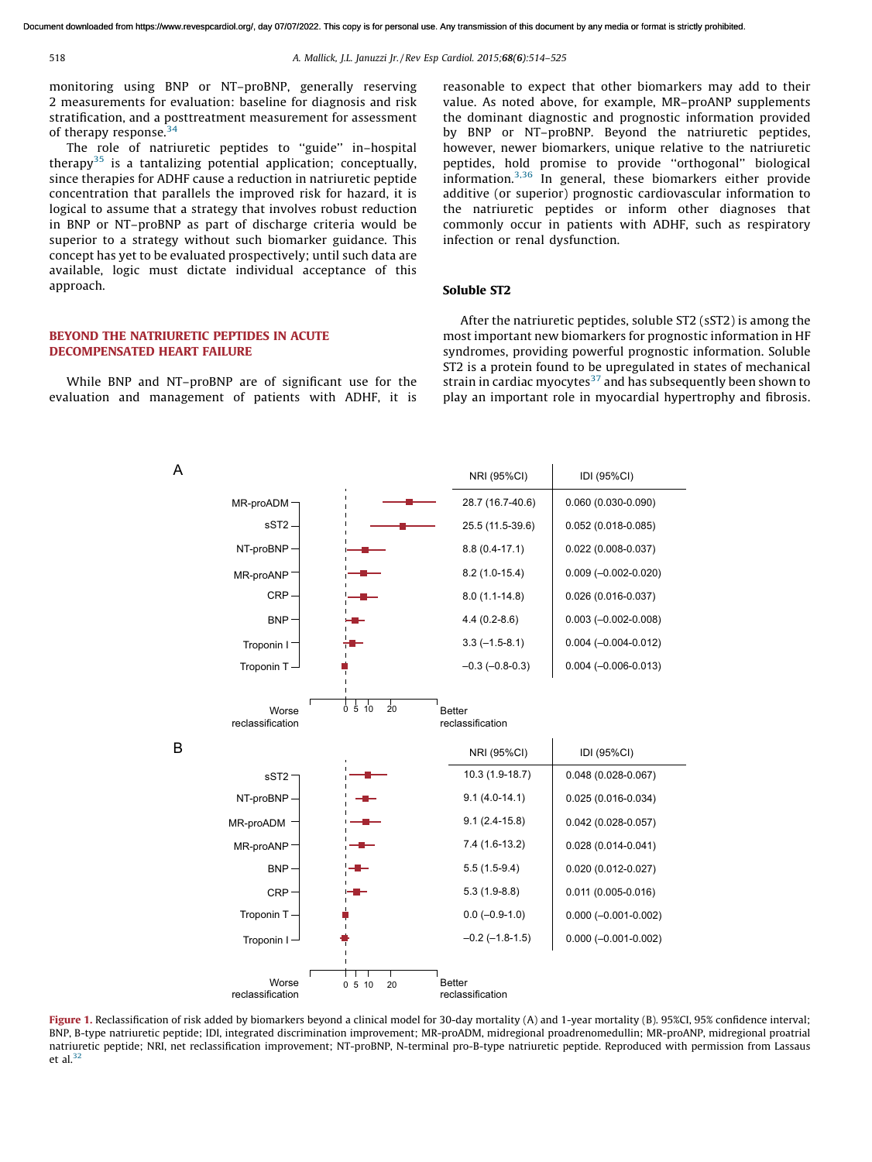<span id="page-4-0"></span>

monitoring using BNP or NT–proBNP, generally reserving 2 measurements for evaluation: baseline for diagnosis and risk stratification, and a posttreatment measurement for assessment of therapy response. $34$ 

The role of natriuretic peptides to "guide" in-hospital therapy<sup>[35](#page-9-0)</sup> is a tantalizing potential application; conceptually, since therapies for ADHF cause a reduction in natriuretic peptide concentration that parallels the improved risk for hazard, it is logical to assume that a strategy that involves robust reduction in BNP or NT–proBNP as part of discharge criteria would be superior to a strategy without such biomarker guidance. This concept has yet to be evaluated prospectively; until such data are available, logic must dictate individual acceptance of this approach.

## BEYOND THE NATRIURETIC PEPTIDES IN ACUTE DECOMPENSATED HEART FAILURE

While BNP and NT–proBNP are of significant use for the evaluation and management of patients with ADHF, it is reasonable to expect that other biomarkers may add to their value. As noted above, for example, MR–proANP supplements the dominant diagnostic and prognostic information provided by BNP or NT–proBNP. Beyond the natriuretic peptides, however, newer biomarkers, unique relative to the natriuretic peptides, hold promise to provide ''orthogonal'' biological information.[3,36](#page-9-0) In general, these biomarkers either provide additive (or superior) prognostic cardiovascular information to the natriuretic peptides or inform other diagnoses that commonly occur in patients with ADHF, such as respiratory infection or renal dysfunction.

## Soluble ST2

After the natriuretic peptides, soluble ST2 (sST2) is among the most important new biomarkers for prognostic information in HF syndromes, providing powerful prognostic information. Soluble ST2 is a protein found to be upregulated in states of mechanical strain in cardiac myocytes<sup>[37](#page-10-0)</sup> and has subsequently been shown to play an important role in myocardial hypertrophy and fibrosis.



B



Figure 1. Reclassification of risk added by biomarkers beyond a clinical model for 30-day mortality (A) and 1-year mortality (B). 95%CI, 95% confidence interval; BNP, B-type natriuretic peptide; IDI, integrated discrimination improvement; MR-proADM, midregional proadrenomedullin; MR-proANP, midregional proatrial natriuretic peptide; NRI, net reclassification improvement; NT-proBNP, N-terminal pro-B-type natriuretic peptide. Reproduced with permission from Lassaus et al. $32$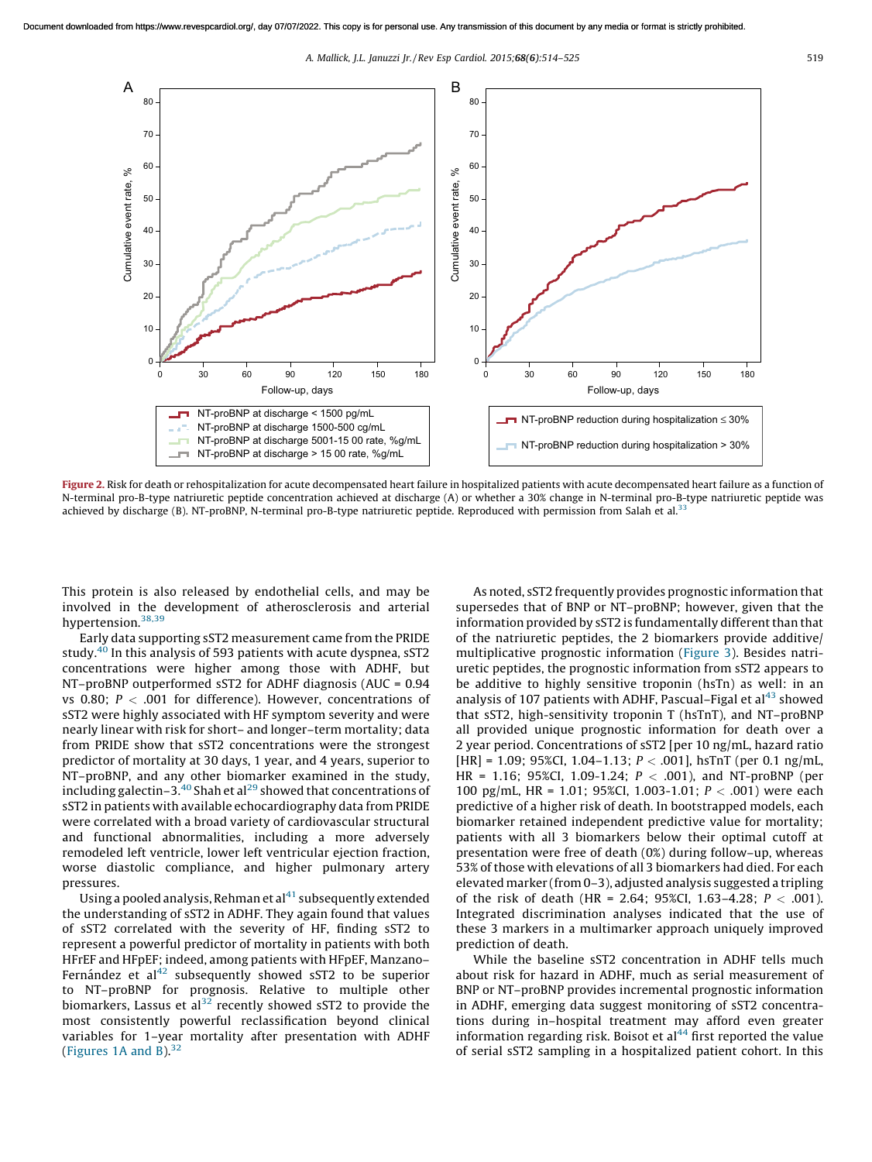*A. Mallick, J.L. Januzzi Jr. / Rev Esp Cardiol. 2015;*68(6)*:514–525* 519

<span id="page-5-0"></span>

Figure 2. Risk for death or rehospitalization for acute decompensated heart failure in hospitalized patients with acute decompensated heart failure as a function of N-terminal pro-B-type natriuretic peptide concentration achieved at discharge (A) or whether a 30% change in N-terminal pro-B-type natriuretic peptide was achieved by discharge (B). NT-proBNP, N-terminal pro-B-type natriuretic peptide. Reproduced with permission from Salah et al.<sup>3</sup>

This protein is also released by endothelial cells, and may be involved in the development of atherosclerosis and arterial hypertension.<sup>[38,39](#page-10-0)</sup>

Early data supporting sST2 measurement came from the PRIDE study.[40](#page-10-0) In this analysis of 593 patients with acute dyspnea, sST2 concentrations were higher among those with ADHF, but NT–proBNP outperformed sST2 for ADHF diagnosis (AUC = 0.94 vs 0.80; *P* < .001 for difference). However, concentrations of sST2 were highly associated with HF symptom severity and were nearly linear with risk for short– and longer–term mortality; data from PRIDE show that sST2 concentrations were the strongest predictor of mortality at 30 days, 1 year, and 4 years, superior to NT–proBNP, and any other biomarker examined in the study, including galectin-3. $^{40}$  $^{40}$  $^{40}$  Shah et al<sup>[29](#page-9-0)</sup> showed that concentrations of sST2 in patients with available echocardiography data from PRIDE were correlated with a broad variety of cardiovascular structural and functional abnormalities, including a more adversely remodeled left ventricle, lower left ventricular ejection fraction, worse diastolic compliance, and higher pulmonary artery pressures.

Using a pooled analysis, Rehman et  $al<sup>41</sup>$  $al<sup>41</sup>$  $al<sup>41</sup>$  subsequently extended the understanding of sST2 in ADHF. They again found that values of sST2 correlated with the severity of HF, finding sST2 to represent a powerful predictor of mortality in patients with both HFrEF and HFpEF; indeed, among patients with HFpEF, Manzano– Fernández et al $42$  subsequently showed sST2 to be superior to NT–proBNP for prognosis. Relative to multiple other biomarkers, Lassus et  $al^{32}$  $al^{32}$  $al^{32}$  recently showed sST2 to provide the most consistently powerful reclassification beyond clinical variables for 1–year mortality after presentation with ADHF ([Figures](#page-4-0) 1A and B). $32$ 

As noted, sST2 frequently provides prognostic information that supersedes that of BNP or NT–proBNP; however, given that the information provided by sST2 is fundamentally different than that of the natriuretic peptides, the 2 biomarkers provide additive/ multiplicative prognostic information ([Figure](#page-6-0) 3). Besides natriuretic peptides, the prognostic information from sST2 appears to be additive to highly sensitive troponin (hsTn) as well: in an analysis of 107 patients with ADHF, Pascual–Figal et al $^{43}$  $^{43}$  $^{43}$  showed that sST2, high-sensitivity troponin T (hsTnT), and NT–proBNP all provided unique prognostic information for death over a 2 year period. Concentrations of sST2 [per 10 ng/mL, hazard ratio [HR] = 1.09; 95%CI, 1.04–1.13; *P* < .001], hsTnT (per 0.1 ng/mL, HR = 1.16; 95%CI, 1.09-1.24; *P* < .001), and NT-proBNP (per 100 pg/mL, HR = 1.01; 95%CI, 1.003-1.01; *P* < .001) were each predictive of a higher risk of death. In bootstrapped models, each biomarker retained independent predictive value for mortality; patients with all 3 biomarkers below their optimal cutoff at presentation were free of death (0%) during follow–up, whereas 53% of those with elevations of all 3 biomarkers had died. For each elevated marker (from 0–3), adjusted analysis suggested a tripling of the risk of death (HR = 2.64; 95%CI, 1.63–4.28; *P* < .001). Integrated discrimination analyses indicated that the use of these 3 markers in a multimarker approach uniquely improved prediction of death.

While the baseline sST2 concentration in ADHF tells much about risk for hazard in ADHF, much as serial measurement of BNP or NT–proBNP provides incremental prognostic information in ADHF, emerging data suggest monitoring of sST2 concentrations during in–hospital treatment may afford even greater information regarding risk. Boisot et  $al<sup>44</sup>$  $al<sup>44</sup>$  $al<sup>44</sup>$  first reported the value of serial sST2 sampling in a hospitalized patient cohort. In this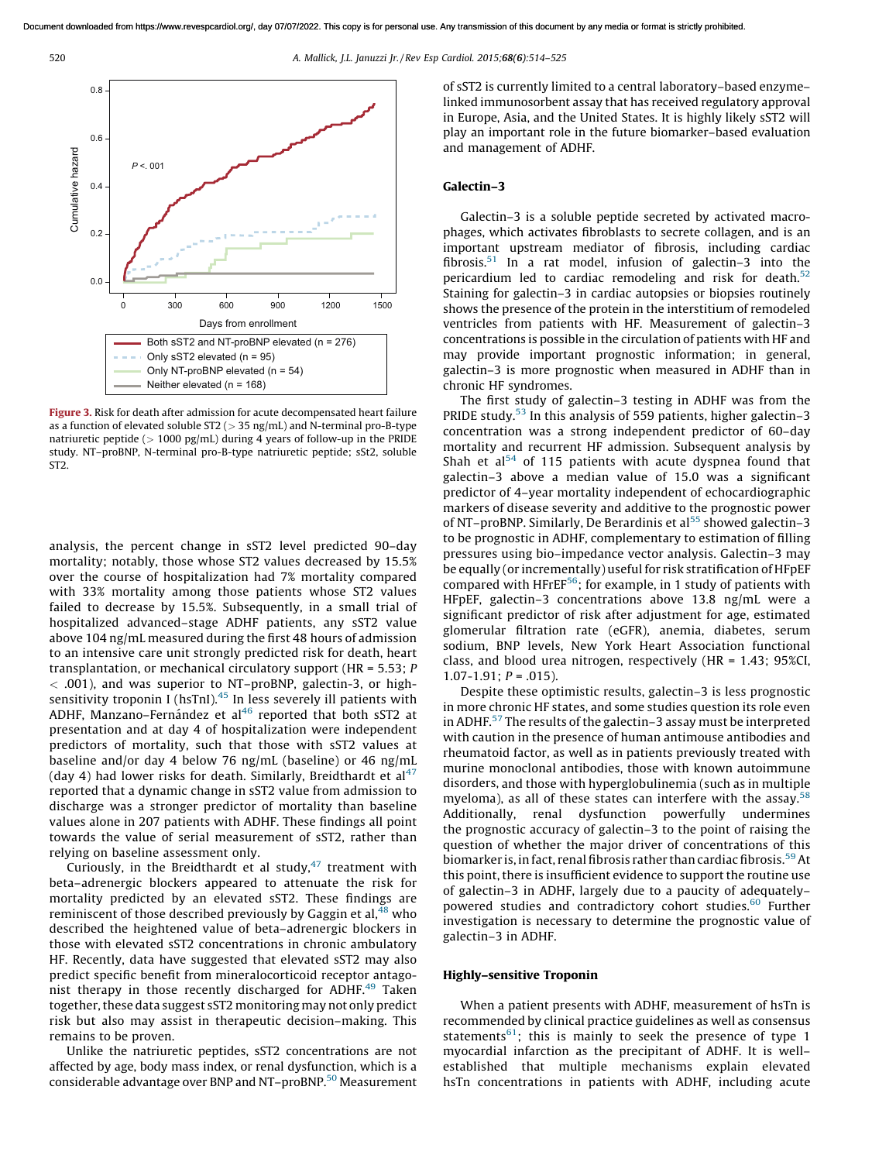<span id="page-6-0"></span>520 *A. Mallick, J.L. Januzzi Jr. / Rev Esp Cardiol. 2015;*68(6)*:514–525*



Figure 3. Risk for death after admission for acute decompensated heart failure as a function of elevated soluble  $ST2$  ( $>$  35 ng/mL) and N-terminal pro-B-type natriuretic peptide ( $> 1000$  pg/mL) during 4 years of follow-up in the PRIDE study. NT–proBNP, N-terminal pro-B-type natriuretic peptide; sSt2, soluble ST2.

analysis, the percent change in sST2 level predicted 90–day mortality; notably, those whose ST2 values decreased by 15.5% over the course of hospitalization had 7% mortality compared with 33% mortality among those patients whose ST2 values failed to decrease by 15.5%. Subsequently, in a small trial of hospitalized advanced–stage ADHF patients, any sST2 value above 104 ng/mL measured during the first 48 hours of admission to an intensive care unit strongly predicted risk for death, heart transplantation, or mechanical circulatory support (HR = 5.53; *P*  $<$  .001), and was superior to NT-proBNP, galectin-3, or high-sensitivity troponin I (hsTnI).<sup>[45](#page-10-0)</sup> In less severely ill patients with ADHF, Manzano–Fernández et al $46$  reported that both sST2 at presentation and at day 4 of hospitalization were independent predictors of mortality, such that those with sST2 values at baseline and/or day 4 below 76 ng/mL (baseline) or 46 ng/mL (day 4) had lower risks for death. Similarly, Breidthardt et al $47$ reported that a dynamic change in sST2 value from admission to discharge was a stronger predictor of mortality than baseline values alone in 207 patients with ADHF. These findings all point towards the value of serial measurement of sST2, rather than relying on baseline assessment only.

Curiously, in the Breidthardt et al study, $47$  treatment with beta–adrenergic blockers appeared to attenuate the risk for mortality predicted by an elevated sST2. These findings are reminiscent of those described previously by Gaggin et al, $48$  who described the heightened value of beta–adrenergic blockers in those with elevated sST2 concentrations in chronic ambulatory HF. Recently, data have suggested that elevated sST2 may also predict specific benefit from mineralocorticoid receptor antago-nist therapy in those recently discharged for ADHF.<sup>[49](#page-10-0)</sup> Taken together, these data suggest sST2 monitoring may not only predict risk but also may assist in therapeutic decision–making. This remains to be proven.

Unlike the natriuretic peptides, sST2 concentrations are not affected by age, body mass index, or renal dysfunction, which is a considerable advantage over BNP and NT–proBNP.[50](#page-10-0) Measurement of sST2 is currently limited to a central laboratory–based enzyme– linked immunosorbent assay that has received regulatory approval in Europe, Asia, and the United States. It is highly likely sST2 will play an important role in the future biomarker–based evaluation and management of ADHF.

#### Galectin–3

Galectin–3 is a soluble peptide secreted by activated macrophages, which activates fibroblasts to secrete collagen, and is an important upstream mediator of fibrosis, including cardiac fibrosis.[51](#page-10-0) In a rat model, infusion of galectin–3 into the pericardium led to cardiac remodeling and risk for death.<sup>[52](#page-10-0)</sup> Staining for galectin–3 in cardiac autopsies or biopsies routinely shows the presence of the protein in the interstitium of remodeled ventricles from patients with HF. Measurement of galectin–3 concentrations is possible in the circulation of patients with HF and may provide important prognostic information; in general, galectin–3 is more prognostic when measured in ADHF than in chronic HF syndromes.

The first study of galectin–3 testing in ADHF was from the PRIDE study.<sup>[53](#page-10-0)</sup> In this analysis of 559 patients, higher galectin-3 concentration was a strong independent predictor of 60–day mortality and recurrent HF admission. Subsequent analysis by Shah et al $54$  of 115 patients with acute dyspnea found that galectin–3 above a median value of 15.0 was a significant predictor of 4–year mortality independent of echocardiographic markers of disease severity and additive to the prognostic power of NT–proBNP. Similarly, De Berardinis et al<sup>[55](#page-10-0)</sup> showed galectin–3 to be prognostic in ADHF, complementary to estimation of filling pressures using bio–impedance vector analysis. Galectin–3 may be equally (or incrementally) useful for risk stratification of HFpEF compared with  $H$ FrE $F^{56}$  $F^{56}$  $F^{56}$ ; for example, in 1 study of patients with HFpEF, galectin–3 concentrations above 13.8 ng/mL were a significant predictor of risk after adjustment for age, estimated glomerular filtration rate (eGFR), anemia, diabetes, serum sodium, BNP levels, New York Heart Association functional class, and blood urea nitrogen, respectively (HR = 1.43; 95%CI, 1.07-1.91; *P* = .015).

Despite these optimistic results, galectin–3 is less prognostic in more chronic HF states, and some studies question its role even in ADHF.[57](#page-10-0) The results of the galectin–3 assay must be interpreted with caution in the presence of human antimouse antibodies and rheumatoid factor, as well as in patients previously treated with murine monoclonal antibodies, those with known autoimmune disorders, and those with hyperglobulinemia (such as in multiple myeloma), as all of these states can interfere with the assay.<sup>[58](#page-10-0)</sup> Additionally, renal dysfunction powerfully undermines the prognostic accuracy of galectin–3 to the point of raising the question of whether the major driver of concentrations of this biomarker is, in fact, renal fibrosis rather than cardiac fibrosis.<sup>[59](#page-10-0)</sup> At this point, there is insufficient evidence to support the routine use of galectin–3 in ADHF, largely due to a paucity of adequately– powered studies and contradictory cohort studies.<sup>[60](#page-10-0)</sup> Further investigation is necessary to determine the prognostic value of galectin–3 in ADHF.

### Highly–sensitive Troponin

When a patient presents with ADHF, measurement of hsTn is recommended by clinical practice guidelines as well as consensus statements $61$ ; this is mainly to seek the presence of type 1 myocardial infarction as the precipitant of ADHF. It is well– established that multiple mechanisms explain elevated hsTn concentrations in patients with ADHF, including acute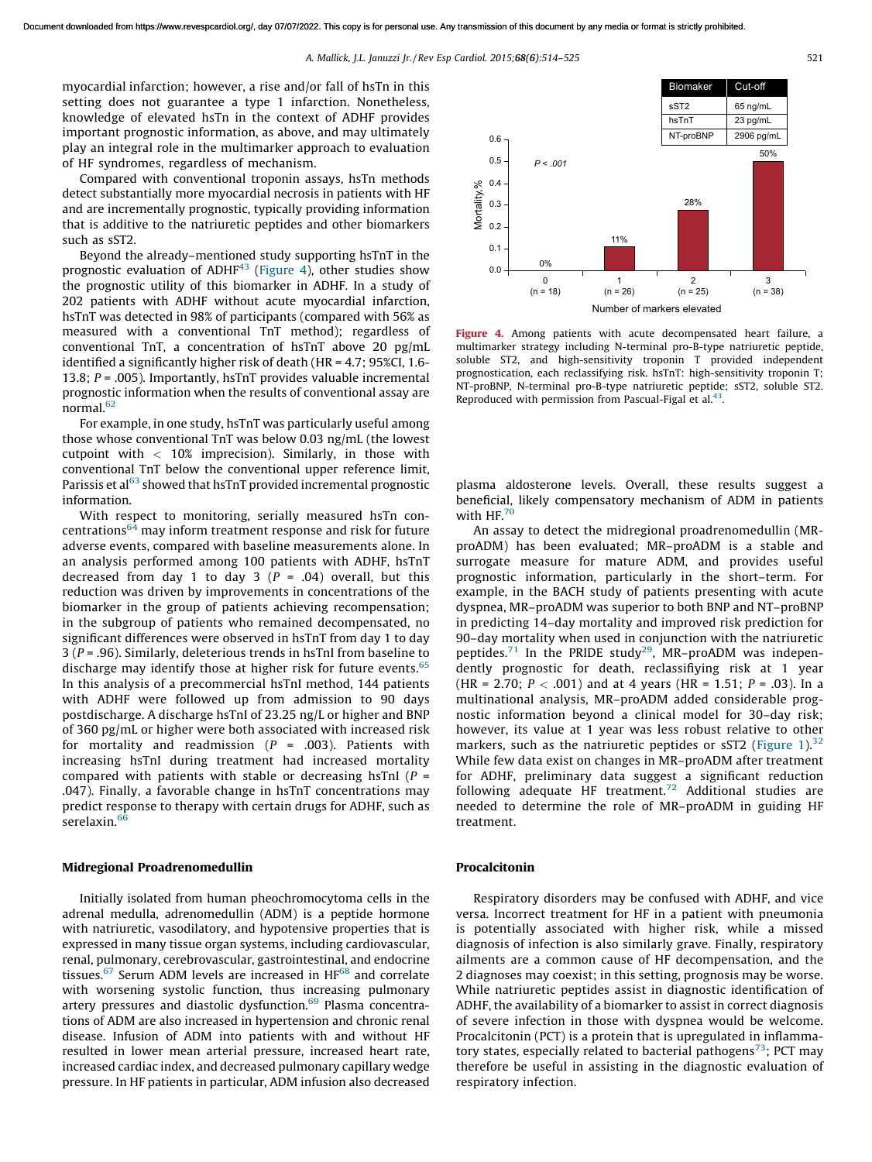myocardial infarction; however, a rise and/or fall of hsTn in this setting does not guarantee a type 1 infarction. Nonetheless, knowledge of elevated hsTn in the context of ADHF provides important prognostic information, as above, and may ultimately play an integral role in the multimarker approach to evaluation of HF syndromes, regardless of mechanism.

Compared with conventional troponin assays, hsTn methods detect substantially more myocardial necrosis in patients with HF and are incrementally prognostic, typically providing information that is additive to the natriuretic peptides and other biomarkers such as sST2.

Beyond the already–mentioned study supporting hsTnT in the prognostic evaluation of ADH $F^{43}$  $F^{43}$  $F^{43}$  (Figure 4), other studies show the prognostic utility of this biomarker in ADHF. In a study of 202 patients with ADHF without acute myocardial infarction, hsTnT was detected in 98% of participants (compared with 56% as measured with a conventional TnT method); regardless of conventional TnT, a concentration of hsTnT above 20 pg/mL identified a significantly higher risk of death (HR = 4.7; 95%CI, 1.6- 13.8; *P* = .005). Importantly, hsTnT provides valuable incremental prognostic information when the results of conventional assay are normal.[62](#page-10-0)

For example, in one study, hsTnT was particularly useful among those whose conventional TnT was below 0.03 ng/mL (the lowest cutpoint with < 10% imprecision). Similarly, in those with conventional TnT below the conventional upper reference limit, Parissis et al $^{63}$  $^{63}$  $^{63}$  showed that hsTnT provided incremental prognostic information.

With respect to monitoring, serially measured hsTn concentrations[64](#page-10-0) may inform treatment response and risk for future adverse events, compared with baseline measurements alone. In an analysis performed among 100 patients with ADHF, hsTnT decreased from day 1 to day 3  $(P = .04)$  overall, but this reduction was driven by improvements in concentrations of the biomarker in the group of patients achieving recompensation; in the subgroup of patients who remained decompensated, no significant differences were observed in hsTnT from day 1 to day 3 (*P* = .96). Similarly, deleterious trends in hsTnI from baseline to discharge may identify those at higher risk for future events.<sup>[65](#page-10-0)</sup> In this analysis of a precommercial hsTnI method, 144 patients with ADHF were followed up from admission to 90 days postdischarge. A discharge hsTnI of 23.25 ng/L or higher and BNP of 360 pg/mL or higher were both associated with increased risk for mortality and readmission (*P* = .003). Patients with increasing hsTnI during treatment had increased mortality compared with patients with stable or decreasing hsTnI (*P* = .047). Finally, a favorable change in hsTnT concentrations may predict response to therapy with certain drugs for ADHF, such as serelaxin.<sup>6</sup>

#### Midregional Proadrenomedullin

Initially isolated from human pheochromocytoma cells in the adrenal medulla, adrenomedullin (ADM) is a peptide hormone with natriuretic, vasodilatory, and hypotensive properties that is expressed in many tissue organ systems, including cardiovascular, renal, pulmonary, cerebrovascular, gastrointestinal, and endocrine tissues. $67$  Serum ADM levels are increased in  $HF^{68}$  $HF^{68}$  $HF^{68}$  and correlate with worsening systolic function, thus increasing pulmonary artery pressures and diastolic dysfunction.<sup>[69](#page-10-0)</sup> Plasma concentrations of ADM are also increased in hypertension and chronic renal disease. Infusion of ADM into patients with and without HF resulted in lower mean arterial pressure, increased heart rate, increased cardiac index, and decreased pulmonary capillary wedge pressure. In HF patients in particular, ADM infusion also decreased



Figure 4. Among patients with acute decompensated heart failure, a multimarker strategy including N-terminal pro-B-type natriuretic peptide, soluble ST2, and high-sensitivity troponin T provided independent prognostication, each reclassifying risk. hsTnT: high-sensitivity troponin T; NT-proBNP, N-terminal pro-B-type natriuretic peptide; sST2, soluble ST2. Reproduced with permission from Pascual-Figal et al.<sup>[43](#page-10-0)</sup>.

plasma aldosterone levels. Overall, these results suggest a beneficial, likely compensatory mechanism of ADM in patients with HF.<sup>[70](#page-10-0)</sup>

An assay to detect the midregional proadrenomedullin (MRproADM) has been evaluated; MR–proADM is a stable and surrogate measure for mature ADM, and provides useful prognostic information, particularly in the short–term. For example, in the BACH study of patients presenting with acute dyspnea, MR–proADM was superior to both BNP and NT–proBNP in predicting 14–day mortality and improved risk prediction for 90–day mortality when used in conjunction with the natriuretic peptides.<sup>[71](#page-10-0)</sup> In the PRIDE study<sup>[29](#page-9-0)</sup>, MR-proADM was independently prognostic for death, reclassifiying risk at 1 year (HR = 2.70; *P* < .001) and at 4 years (HR = 1.51; *P* = .03). In a multinational analysis, MR–proADM added considerable prognostic information beyond a clinical model for 30–day risk; however, its value at 1 year was less robust relative to other markers, such as the natriuretic peptides or sST2 ([Figure](#page-4-0) 1). $32$ While few data exist on changes in MR–proADM after treatment for ADHF, preliminary data suggest a significant reduction following adequate HF treatment.<sup>[72](#page-10-0)</sup> Additional studies are needed to determine the role of MR–proADM in guiding HF treatment.  $\frac{25}{20}$ <br>  $\frac{25}{20}$ <br>  $\frac{25}{20}$ <br>  $\frac{2}{20}$ <br>  $\frac{0.1}{0.0}$ <br>  $\frac{0\%}{(n=18)}$ <br> **Figure 4.** Among patie<br>
multimarker strategy in<br>
prognostication, each reg<br>
prognostication, each reg<br>
prognostication, each reg<br>
prognos

## Procalcitonin

Respiratory disorders may be confused with ADHF, and vice versa. Incorrect treatment for HF in a patient with pneumonia is potentially associated with higher risk, while a missed diagnosis of infection is also similarly grave. Finally, respiratory ailments are a common cause of HF decompensation, and the 2 diagnoses may coexist; in this setting, prognosis may be worse. While natriuretic peptides assist in diagnostic identification of ADHF, the availability of a biomarker to assist in correct diagnosis of severe infection in those with dyspnea would be welcome. Procalcitonin (PCT) is a protein that is upregulated in inflamma-tory states, especially related to bacterial pathogens<sup>[73](#page-10-0)</sup>; PCT may therefore be useful in assisting in the diagnostic evaluation of respiratory infection.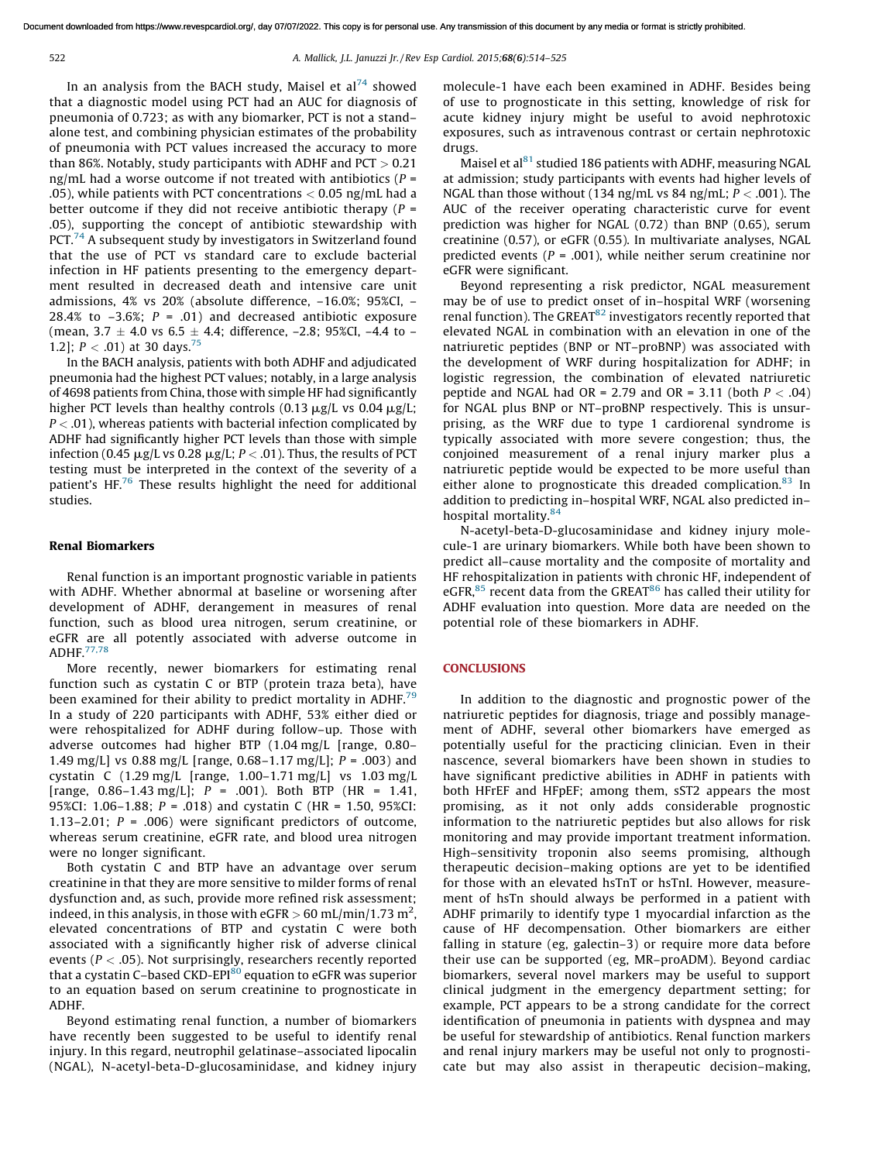In an analysis from the BACH study, Maisel et al<sup>[74](#page-10-0)</sup> showed that a diagnostic model using PCT had an AUC for diagnosis of pneumonia of 0.723; as with any biomarker, PCT is not a stand– alone test, and combining physician estimates of the probability of pneumonia with PCT values increased the accuracy to more than 86%. Notably, study participants with ADHF and  $PCT > 0.21$ ng/mL had a worse outcome if not treated with antibiotics (*P* = .05), while patients with PCT concentrations  $< 0.05$  ng/mL had a better outcome if they did not receive antibiotic therapy  $(P =$ .05), supporting the concept of antibiotic stewardship with PCT.<sup>[74](#page-10-0)</sup> A subsequent study by investigators in Switzerland found that the use of PCT vs standard care to exclude bacterial infection in HF patients presenting to the emergency department resulted in decreased death and intensive care unit admissions, 4% vs 20% (absolute difference, –16.0%; 95%CI, – 28.4% to  $-3.6\%$ ;  $P = .01$ ) and decreased antibiotic exposure (mean, 3.7  $\pm$  4.0 vs 6.5  $\pm$  4.4; difference, –2.8; 95%CI, –4.4 to – 1.2]; *P* < .01) at 30 days.[75](#page-10-0)

In the BACH analysis, patients with both ADHF and adjudicated pneumonia had the highest PCT values; notably, in a large analysis of 4698 patients from China, those with simple HF had significantly higher PCT levels than healthy controls (0.13  $\mu$ g/L vs 0.04  $\mu$ g/L; *P* < .01), whereas patients with bacterial infection complicated by ADHF had significantly higher PCT levels than those with simple infection (0.45  $\mu$ g/L vs 0.28  $\mu$ g/L; *P* < .01). Thus, the results of PCT testing must be interpreted in the context of the severity of a patient's HF.<sup>[76](#page-10-0)</sup> These results highlight the need for additional studies.

#### Renal Biomarkers

Renal function is an important prognostic variable in patients with ADHF. Whether abnormal at baseline or worsening after development of ADHF, derangement in measures of renal function, such as blood urea nitrogen, serum creatinine, or eGFR are all potently associated with adverse outcome in ADHF.[77,78](#page-10-0)

More recently, newer biomarkers for estimating renal function such as cystatin C or BTP (protein traza beta), have been examined for their ability to predict mortality in ADHF.<sup>[79](#page-10-0)</sup> In a study of 220 participants with ADHF, 53% either died or were rehospitalized for ADHF during follow–up. Those with adverse outcomes had higher BTP (1.04 mg/L [range, 0.80– 1.49 mg/L] vs 0.88 mg/L [range, 0.68–1.17 mg/L]; *P* = .003) and cystatin C (1.29 mg/L [range, 1.00–1.71 mg/L] vs 1.03 mg/L [range, 0.86–1.43 mg/L]; *P* = .001). Both BTP (HR = 1.41, 95%CI: 1.06–1.88; *P* = .018) and cystatin C (HR = 1.50, 95%CI: 1.13–2.01; *P* = .006) were significant predictors of outcome, whereas serum creatinine, eGFR rate, and blood urea nitrogen were no longer significant.

Both cystatin C and BTP have an advantage over serum creatinine in that they are more sensitive to milder forms of renal dysfunction and, as such, provide more refined risk assessment; indeed, in this analysis, in those with eGFR  $>$  60 mL/min/1.73 m<sup>2</sup>, elevated concentrations of BTP and cystatin C were both associated with a significantly higher risk of adverse clinical events (*P* < .05). Not surprisingly, researchers recently reported that a cystatin C–based CKD-EPI $^{80}$  $^{80}$  $^{80}$  equation to eGFR was superior to an equation based on serum creatinine to prognosticate in ADHF.

Beyond estimating renal function, a number of biomarkers have recently been suggested to be useful to identify renal injury. In this regard, neutrophil gelatinase–associated lipocalin (NGAL), N-acetyl-beta-D-glucosaminidase, and kidney injury molecule-1 have each been examined in ADHF. Besides being of use to prognosticate in this setting, knowledge of risk for acute kidney injury might be useful to avoid nephrotoxic exposures, such as intravenous contrast or certain nephrotoxic drugs.

Maisel et al $^{81}$  $^{81}$  $^{81}$  studied 186 patients with ADHF, measuring NGAL at admission; study participants with events had higher levels of NGAL than those without (134 ng/mL vs 84 ng/mL; *P* < .001). The AUC of the receiver operating characteristic curve for event prediction was higher for NGAL (0.72) than BNP (0.65), serum creatinine (0.57), or eGFR (0.55). In multivariate analyses, NGAL predicted events ( $P = .001$ ), while neither serum creatinine nor eGFR were significant.

Beyond representing a risk predictor, NGAL measurement may be of use to predict onset of in–hospital WRF (worsening renal function). The GREAT<sup>[82](#page-10-0)</sup> investigators recently reported that elevated NGAL in combination with an elevation in one of the natriuretic peptides (BNP or NT–proBNP) was associated with the development of WRF during hospitalization for ADHF; in logistic regression, the combination of elevated natriuretic peptide and NGAL had OR = 2.79 and OR = 3.11 (both *P* < .04) for NGAL plus BNP or NT–proBNP respectively. This is unsurprising, as the WRF due to type 1 cardiorenal syndrome is typically associated with more severe congestion; thus, the conjoined measurement of a renal injury marker plus a natriuretic peptide would be expected to be more useful than either alone to prognosticate this dreaded complication.<sup>[83](#page-10-0)</sup> In addition to predicting in–hospital WRF, NGAL also predicted in– hospital mortality.[84](#page-10-0)

N-acetyl-beta-D-glucosaminidase and kidney injury molecule-1 are urinary biomarkers. While both have been shown to predict all–cause mortality and the composite of mortality and HF rehospitalization in patients with chronic HF, independent of eGFR, $85$  recent data from the GREAT $86$  has called their utility for ADHF evaluation into question. More data are needed on the potential role of these biomarkers in ADHF.

## **CONCLUSIONS**

In addition to the diagnostic and prognostic power of the natriuretic peptides for diagnosis, triage and possibly management of ADHF, several other biomarkers have emerged as potentially useful for the practicing clinician. Even in their nascence, several biomarkers have been shown in studies to have significant predictive abilities in ADHF in patients with both HFrEF and HFpEF; among them, sST2 appears the most promising, as it not only adds considerable prognostic information to the natriuretic peptides but also allows for risk monitoring and may provide important treatment information. High–sensitivity troponin also seems promising, although therapeutic decision–making options are yet to be identified for those with an elevated hsTnT or hsTnI. However, measurement of hsTn should always be performed in a patient with ADHF primarily to identify type 1 myocardial infarction as the cause of HF decompensation. Other biomarkers are either falling in stature (eg, galectin–3) or require more data before their use can be supported (eg, MR–proADM). Beyond cardiac biomarkers, several novel markers may be useful to support clinical judgment in the emergency department setting; for example, PCT appears to be a strong candidate for the correct identification of pneumonia in patients with dyspnea and may be useful for stewardship of antibiotics. Renal function markers and renal injury markers may be useful not only to prognosticate but may also assist in therapeutic decision–making,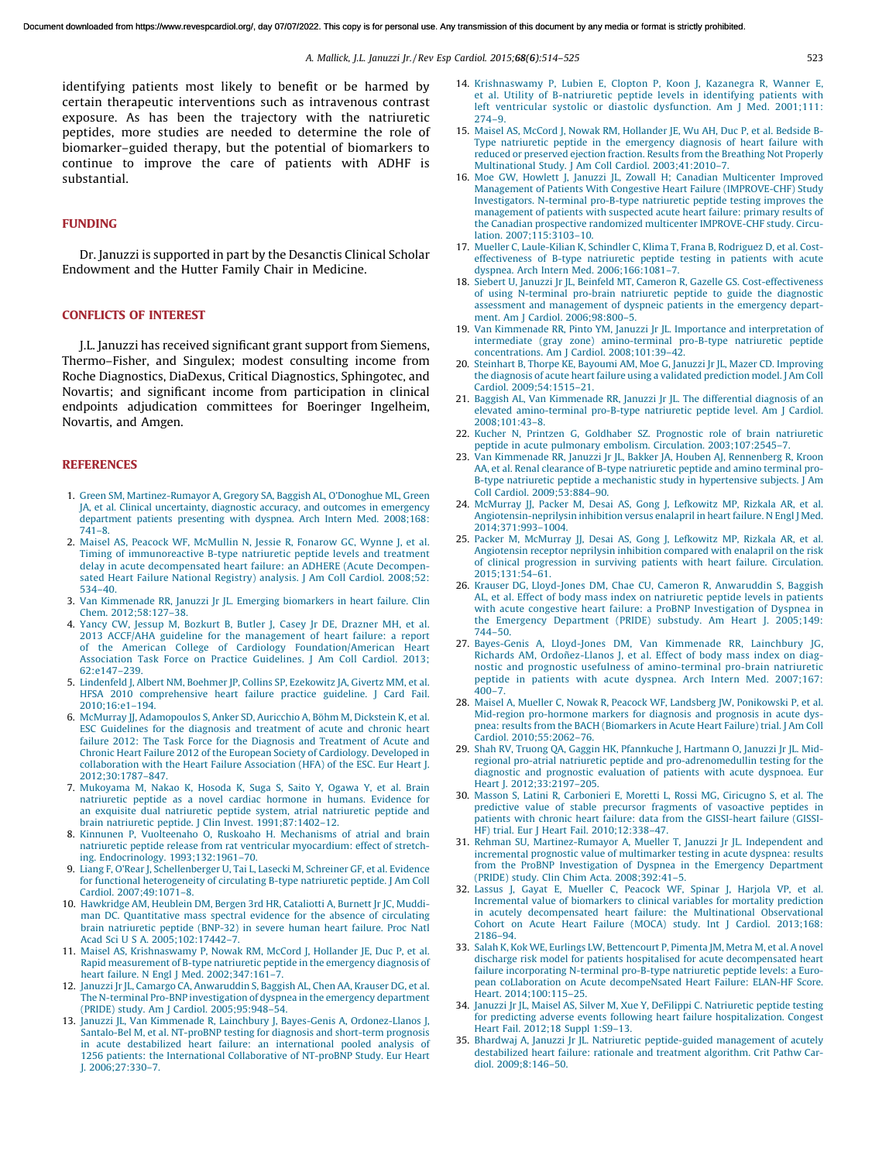<span id="page-9-0"></span>identifying patients most likely to benefit or be harmed by certain therapeutic interventions such as intravenous contrast exposure. As has been the trajectory with the natriuretic peptides, more studies are needed to determine the role of biomarker–guided therapy, but the potential of biomarkers to continue to improve the care of patients with ADHF is substantial.

### FUNDING

Dr. Januzzi is supported in part by the Desanctis Clinical Scholar Endowment and the Hutter Family Chair in Medicine.

## CONFLICTS OF INTEREST

J.L. Januzzi has received significant grant support from Siemens, Thermo–Fisher, and Singulex; modest consulting income from Roche Diagnostics, DiaDexus, Critical Diagnostics, Sphingotec, and Novartis; and significant income from participation in clinical endpoints adjudication committees for Boeringer Ingelheim, Novartis, and Amgen.

## **REFERENCES**

- 1. Green SM, [Martinez-Rumayor](http://refhub.elsevier.com/S1885-5857(15)00116-4/sbref0005) A, Gregory SA, Baggish AL, O'Donoghue ML, Green JA, et al. Clinical [uncertainty,](http://refhub.elsevier.com/S1885-5857(15)00116-4/sbref0005) diagnostic accuracy, and outcomes in emergency [department](http://refhub.elsevier.com/S1885-5857(15)00116-4/sbref0005) patients presenting with dyspnea. Arch Intern Med. 2008;168: [741–8.](http://refhub.elsevier.com/S1885-5857(15)00116-4/sbref0005)
- 2. Maisel AS, Peacock WF, [McMullin](http://refhub.elsevier.com/S1885-5857(15)00116-4/sbref0010) N, Jessie R, Fonarow GC, Wynne J, et al. Timing of [immunoreactive](http://refhub.elsevier.com/S1885-5857(15)00116-4/sbref0010) B-type natriuretic peptide levels and treatment delay in acute [decompensated](http://refhub.elsevier.com/S1885-5857(15)00116-4/sbref0010) heart failure: an ADHERE (Acute Decompen-sated Heart Failure National Registry) analysis. J Am Coll Cardiol. [2008;52:](http://refhub.elsevier.com/S1885-5857(15)00116-4/sbref0010) [534–40](http://refhub.elsevier.com/S1885-5857(15)00116-4/sbref0010).
- 3. Van [Kimmenade](http://refhub.elsevier.com/S1885-5857(15)00116-4/sbref0015) RR, Januzzi Jr JL. Emerging [biomarkers](http://refhub.elsevier.com/S1885-5857(15)00116-4/sbref0015) in heart failure. Clin Chem. [2012;58:127–38](http://refhub.elsevier.com/S1885-5857(15)00116-4/sbref0015).
- 4. Yancy CW, Jessup M, [Bozkurt](http://refhub.elsevier.com/S1885-5857(15)00116-4/sbref0020) B, Butler J, Casey Jr DE, [Drazner](http://refhub.elsevier.com/S1885-5857(15)00116-4/sbref0020) MH, et al. 2013 ACCF/AHA guideline for the [management](http://refhub.elsevier.com/S1885-5857(15)00116-4/sbref0020) of heart failure: a report of the American College of Cardiology [Foundation/American](http://refhub.elsevier.com/S1885-5857(15)00116-4/sbref0020) Heart [Association](http://refhub.elsevier.com/S1885-5857(15)00116-4/sbref0020) Task Force on Practice Guidelines. J Am Coll Cardiol. 2013; [62:e147–239](http://refhub.elsevier.com/S1885-5857(15)00116-4/sbref0020).
- 5. [Lindenfeld](http://refhub.elsevier.com/S1885-5857(15)00116-4/sbref0025) J, Albert NM, Boehmer JP, Collins SP, Ezekowitz JA, Givertz MM, et al. HFSA 2010 [comprehensive](http://refhub.elsevier.com/S1885-5857(15)00116-4/sbref0025) heart failure practice guideline. J Card Fail. [2010;16:e1–194](http://refhub.elsevier.com/S1885-5857(15)00116-4/sbref0025).
- 6. McMurray JJ, [Adamopoulos](http://refhub.elsevier.com/S1885-5857(15)00116-4/sbref0030) S, Anker SD, Auricchio A, Böhm M, Dickstein K, et al. ESC [Guidelines](http://refhub.elsevier.com/S1885-5857(15)00116-4/sbref0030) for the diagnosis and treatment of acute and chronic heart failure 2012: The Task Force for the Diagnosis and [Treatment](http://refhub.elsevier.com/S1885-5857(15)00116-4/sbref0030) of Acute and Chronic Heart Failure 2012 of the European Society of [Cardiology.](http://refhub.elsevier.com/S1885-5857(15)00116-4/sbref0030) Developed in [collaboration](http://refhub.elsevier.com/S1885-5857(15)00116-4/sbref0030) with the Heart Failure Association (HFA) of the ESC. Eur Heart J. [2012;30:1787–847](http://refhub.elsevier.com/S1885-5857(15)00116-4/sbref0030).
- 7. [Mukoyama](http://refhub.elsevier.com/S1885-5857(15)00116-4/sbref0035) M, Nakao K, Hosoda K, Suga S, Saito Y, Ogawa Y, et al. Brain [natriuretic](http://refhub.elsevier.com/S1885-5857(15)00116-4/sbref0035) peptide as a novel cardiac hormone in humans. Evidence for an exquisite dual [natriuretic](http://refhub.elsevier.com/S1885-5857(15)00116-4/sbref0035) peptide system, atrial natriuretic peptide and brain natriuretic peptide. J Clin Invest. [1991;87:1402–12](http://refhub.elsevier.com/S1885-5857(15)00116-4/sbref0035).
- 8. Kinnunen P, [Vuolteenaho](http://refhub.elsevier.com/S1885-5857(15)00116-4/sbref0040) O, Ruskoaho H. Mechanisms of atrial and brain natriuretic peptide release from rat ventricular [myocardium:](http://refhub.elsevier.com/S1885-5857(15)00116-4/sbref0040) effect of stretching. Endocrinology. [1993;132:1961–70.](http://refhub.elsevier.com/S1885-5857(15)00116-4/sbref0040)
- 9. Liang F, O'Rear J, [Schellenberger](http://refhub.elsevier.com/S1885-5857(15)00116-4/sbref0045) U, Tai L, Lasecki M, Schreiner GF, et al. Evidence for functional [heterogeneity](http://refhub.elsevier.com/S1885-5857(15)00116-4/sbref0045) of circulating B-type natriuretic peptide. J Am Coll Cardiol. [2007;49:1071–8](http://refhub.elsevier.com/S1885-5857(15)00116-4/sbref0045).
- 10. [Hawkridge](http://refhub.elsevier.com/S1885-5857(15)00116-4/sbref0050) AM, Heublein DM, Bergen 3rd HR, [Cataliotti](http://refhub.elsevier.com/S1885-5857(15)00116-4/sbref0050) A, [Burnett](http://refhub.elsevier.com/S1885-5857(15)00116-4/sbref0050) Jr JC, Muddiman DC. [Quantitative](http://refhub.elsevier.com/S1885-5857(15)00116-4/sbref0050) mass spectral evidence for the absence of circulating brain [natriuretic](http://refhub.elsevier.com/S1885-5857(15)00116-4/sbref0050) peptide (BNP-32) in severe human heart failure. Proc Natl Acad Sci U S A. [2005;102:17442–7](http://refhub.elsevier.com/S1885-5857(15)00116-4/sbref0050).
- 11. Maisel AS, [Krishnaswamy](http://refhub.elsevier.com/S1885-5857(15)00116-4/sbref0055) P, Nowak RM, McCord J, Hollander JE, Duc P, et al. Rapid [measurement](http://refhub.elsevier.com/S1885-5857(15)00116-4/sbref0055) of B-type natriuretic peptide in the emergency diagnosis of heart failure. N Engl J Med. [2002;347:161–7](http://refhub.elsevier.com/S1885-5857(15)00116-4/sbref0055).
- 12. Januzzi Jr JL, Camargo CA, [Anwaruddin](http://refhub.elsevier.com/S1885-5857(15)00116-4/sbref0060) S, Baggish AL, Chen AA, Krauser DG, et al. The N-terminal Pro-BNP [investigation](http://refhub.elsevier.com/S1885-5857(15)00116-4/sbref0060) of dyspnea in the emergency department (PRIDE) study. Am J Cardiol. [2005;95:948–54.](http://refhub.elsevier.com/S1885-5857(15)00116-4/sbref0060)
- 13. Januzzi JL, Van Kimmenade R, Lainchbury J, Bayes-Genis A, [Ordonez-Llanos](http://refhub.elsevier.com/S1885-5857(15)00116-4/sbref0065) J, [Santalo-Bel](http://refhub.elsevier.com/S1885-5857(15)00116-4/sbref0065) M, et al. NT-proBNP testing for diagnosis and short-term prognosis in acute destabilized heart failure: an [international](http://refhub.elsevier.com/S1885-5857(15)00116-4/sbref0065) pooled analysis of 1256 patients: the International [Collaborative](http://refhub.elsevier.com/S1885-5857(15)00116-4/sbref0065) of NT-proBNP Study. Eur Heart J. [2006;27:330–7](http://refhub.elsevier.com/S1885-5857(15)00116-4/sbref0065).
- 14. [Krishnaswamy](http://refhub.elsevier.com/S1885-5857(15)00116-4/sbref0070) P, Lubien E, Clopton P, Koon J, Kazanegra R, Wanner E, et al. Utility of [B-natriuretic](http://refhub.elsevier.com/S1885-5857(15)00116-4/sbref0070) peptide levels in identifying patients with left ventricular systolic or diastolic [dysfunction.](http://refhub.elsevier.com/S1885-5857(15)00116-4/sbref0070) Am J Med. 2001;111: [274–9](http://refhub.elsevier.com/S1885-5857(15)00116-4/sbref0070).
- 15. Maisel AS, McCord J, Nowak RM, [Hollander](http://refhub.elsevier.com/S1885-5857(15)00116-4/sbref0075) JE, Wu AH, Duc P, et al. Bedside B-Type natriuretic peptide in the [emergency](http://refhub.elsevier.com/S1885-5857(15)00116-4/sbref0075) diagnosis of heart failure with reduced or [preserved](http://refhub.elsevier.com/S1885-5857(15)00116-4/sbref0075) ejection fraction. Results from the Breathing Not Properly Multinational Study. J Am Coll Cardiol. [2003;41:2010–7.](http://refhub.elsevier.com/S1885-5857(15)00116-4/sbref0075)
- 16. Moe GW, Howlett J, Januzzi JL, Zowall H; Canadian [Multicenter](http://refhub.elsevier.com/S1885-5857(15)00116-4/sbref0080) Improved Management of Patients With Congestive Heart Failure [\(IMPROVE-CHF\)](http://refhub.elsevier.com/S1885-5857(15)00116-4/sbref0080) Study [Investigators.](http://refhub.elsevier.com/S1885-5857(15)00116-4/sbref0080) N-terminal pro-B-type natriuretic peptide testing improves the [management](http://refhub.elsevier.com/S1885-5857(15)00116-4/sbref0080) of patients with suspected acute heart failure: primary results of the Canadian prospective randomized multicenter [IMPROVE-CHF](http://refhub.elsevier.com/S1885-5857(15)00116-4/sbref0080) study. Circulation. [2007;115:3103–10](http://refhub.elsevier.com/S1885-5857(15)00116-4/sbref0080).
- 17. Mueller C, [Laule-Kilian](http://refhub.elsevier.com/S1885-5857(15)00116-4/sbref0085) K, Schindler C, Klima T, Frana B, Rodriguez D, et al. Cost[effectiveness](http://refhub.elsevier.com/S1885-5857(15)00116-4/sbref0085) of B-type natriuretic peptide testing in patients with acute dyspnea. Arch Intern Med. [2006;166:1081–7.](http://refhub.elsevier.com/S1885-5857(15)00116-4/sbref0085)
- 18. [Siebert](http://refhub.elsevier.com/S1885-5857(15)00116-4/sbref0090) U, Januzzi Jr JL, Beinfeld MT, Cameron R, Gazelle GS. [Cost-effectiveness](http://refhub.elsevier.com/S1885-5857(15)00116-4/sbref0090) of using [N-terminal](http://refhub.elsevier.com/S1885-5857(15)00116-4/sbref0090) pro-brain natriuretic peptide to guide the diagnostic assessment and [management](http://refhub.elsevier.com/S1885-5857(15)00116-4/sbref0090) of dyspneic patients in the emergency department. Am J Cardiol. [2006;98:800–5.](http://refhub.elsevier.com/S1885-5857(15)00116-4/sbref0090)
- 19. Van [Kimmenade](http://refhub.elsevier.com/S1885-5857(15)00116-4/sbref0095) RR, Pinto YM, Januzzi Jr JL. Importance and [interpretation](http://refhub.elsevier.com/S1885-5857(15)00116-4/sbref0095) of intermediate (gray zone) [amino-terminal](http://refhub.elsevier.com/S1885-5857(15)00116-4/sbref0095) pro-B-type natriuretic peptide concentrations. Am J Cardiol. [2008;101:39–42.](http://refhub.elsevier.com/S1885-5857(15)00116-4/sbref0095)
- 20. [Steinhart](http://refhub.elsevier.com/S1885-5857(15)00116-4/sbref0100) B, Thorpe KE, Bayoumi AM, Moe G, Januzzi Jr JL, Mazer CD. [Improving](http://refhub.elsevier.com/S1885-5857(15)00116-4/sbref0100) the diagnosis of acute heart failure using a validated [prediction](http://refhub.elsevier.com/S1885-5857(15)00116-4/sbref0100) model. J Am Coll Cardiol. [2009;54:1515–21.](http://refhub.elsevier.com/S1885-5857(15)00116-4/sbref0100)
- 21. Baggish AL, Van [Kimmenade](http://refhub.elsevier.com/S1885-5857(15)00116-4/sbref0105) RR, Januzzi Jr JL. The [differential](http://refhub.elsevier.com/S1885-5857(15)00116-4/sbref0105) diagnosis of an elevated [amino-terminal](http://refhub.elsevier.com/S1885-5857(15)00116-4/sbref0105) pro-B-type natriuretic peptide level. Am J Cardiol. [2008;101:43–8](http://refhub.elsevier.com/S1885-5857(15)00116-4/sbref0105).
- 22. Kucher N, Printzen G, Goldhaber SZ. Prognostic role of brain [natriuretic](http://refhub.elsevier.com/S1885-5857(15)00116-4/sbref0110) peptide in acute pulmonary embolism. Circulation. [2003;107:2545–7.](http://refhub.elsevier.com/S1885-5857(15)00116-4/sbref0110)
- 23. Van [Kimmenade](http://refhub.elsevier.com/S1885-5857(15)00116-4/sbref0115) RR, Januzzi Jr JL, Bakker JA, Houben AJ, [Rennenberg](http://refhub.elsevier.com/S1885-5857(15)00116-4/sbref0115) R, Kroon AA, et al. Renal clearance of B-type [natriuretic](http://refhub.elsevier.com/S1885-5857(15)00116-4/sbref0115) peptide and amino terminal pro-B-type natriuretic peptide a mechanistic study in [hypertensive](http://refhub.elsevier.com/S1885-5857(15)00116-4/sbref0115) subjects. J Am Coll Cardiol. [2009;53:884–90.](http://refhub.elsevier.com/S1885-5857(15)00116-4/sbref0115)
- 24. [McMurray](http://refhub.elsevier.com/S1885-5857(15)00116-4/sbref0120) JJ, Packer M, Desai AS, Gong J, Lefkowitz MP, Rizkala AR, et al. [Angiotensin-neprilysin](http://refhub.elsevier.com/S1885-5857(15)00116-4/sbref0120) inhibition versus enalapril in heart failure. N Engl J Med. [2014;371:993–1004.](http://refhub.elsevier.com/S1885-5857(15)00116-4/sbref0120)
- 25. Packer M, [McMurray](http://refhub.elsevier.com/S1885-5857(15)00116-4/sbref0125) JJ, Desai AS, Gong J, Lefkowitz MP, Rizkala AR, et al. [Angiotensin](http://refhub.elsevier.com/S1885-5857(15)00116-4/sbref0125) receptor neprilysin inhibition compared with enalapril on the risk of clinical [progression](http://refhub.elsevier.com/S1885-5857(15)00116-4/sbref0125) in surviving patients with heart failure. Circulation. [2015;131:54–61](http://refhub.elsevier.com/S1885-5857(15)00116-4/sbref0125).
- 26. Krauser DG, Lloyd-Jones DM, Chae CU, Cameron R, [Anwaruddin](http://refhub.elsevier.com/S1885-5857(15)00116-4/sbref0130) S, Baggish AL, et al. Effect of body mass index on [natriuretic](http://refhub.elsevier.com/S1885-5857(15)00116-4/sbref0130) peptide levels in patients with acute congestive heart failure: a ProBNP [Investigation](http://refhub.elsevier.com/S1885-5857(15)00116-4/sbref0130) of Dyspnea in the Emergency [Department](http://refhub.elsevier.com/S1885-5857(15)00116-4/sbref0130) (PRIDE) substudy. Am Heart J. 2005;149: [744–50.](http://refhub.elsevier.com/S1885-5857(15)00116-4/sbref0130)
- 27. Bayes-Genis A, Lloyd-Jones DM, Van [Kimmenade](http://refhub.elsevier.com/S1885-5857(15)00116-4/sbref0135) RR, Lainchbury JG, Richards AM, Ordonez-Llanos J, et al. Effect of body mass index on diagnostic and prognostic usefulness of [amino-terminal](http://refhub.elsevier.com/S1885-5857(15)00116-4/sbref0135) pro-brain natriuretic peptide in patients with acute dyspnea. Arch Intern Med. [2007;167:](http://refhub.elsevier.com/S1885-5857(15)00116-4/sbref0135) [400–7](http://refhub.elsevier.com/S1885-5857(15)00116-4/sbref0135).
- 28. Maisel A, Mueller C, Nowak R, Peacock WF, Landsberg JW, [Ponikowski](http://refhub.elsevier.com/S1885-5857(15)00116-4/sbref0140) P, et al. Mid-region [pro-hormone](http://refhub.elsevier.com/S1885-5857(15)00116-4/sbref0140) markers for diagnosis and prognosis in acute dyspnea: results from the BACH [\(Biomarkers](http://refhub.elsevier.com/S1885-5857(15)00116-4/sbref0140) in Acute Heart Failure) trial. J Am Coll Cardiol. [2010;55:2062–76.](http://refhub.elsevier.com/S1885-5857(15)00116-4/sbref0140)
- 29. Shah RV, Truong QA, Gaggin HK, [Pfannkuche](http://refhub.elsevier.com/S1885-5857(15)00116-4/sbref0145) J, Hartmann O, [Januzzi](http://refhub.elsevier.com/S1885-5857(15)00116-4/sbref0145) Jr JL. Midregional pro-atrial natriuretic peptide and [pro-adrenomedullin](http://refhub.elsevier.com/S1885-5857(15)00116-4/sbref0145) testing for the diagnostic and [prognostic](http://refhub.elsevier.com/S1885-5857(15)00116-4/sbref0145) evaluation of patients with acute dyspnoea. Eur Heart J. [2012;33:2197–205.](http://refhub.elsevier.com/S1885-5857(15)00116-4/sbref0145)
- 30. Masson S, Latini R, [Carbonieri](http://refhub.elsevier.com/S1885-5857(15)00116-4/sbref0150) E, Moretti L, Rossi MG, Ciricugno S, et al. The predictive value of stable precursor fragments of [vasoactive](http://refhub.elsevier.com/S1885-5857(15)00116-4/sbref0150) peptides in patients with chronic heart failure: data from the [GISSI-heart](http://refhub.elsevier.com/S1885-5857(15)00116-4/sbref0150) failure (GISSI-HF) trial. Eur J Heart Fail. [2010;12:338–47](http://refhub.elsevier.com/S1885-5857(15)00116-4/sbref0150).
- 31. Rehman SU, [Martinez-Rumayor](http://refhub.elsevier.com/S1885-5857(15)00116-4/sbref0155) A, Mueller T, Januzzi Jr JL. [Independent](http://refhub.elsevier.com/S1885-5857(15)00116-4/sbref0155) and incremental prognostic value of [multimarker](http://refhub.elsevier.com/S1885-5857(15)00116-4/sbref0155) testing in acute dyspnea: results from the ProBNP [Investigation](http://refhub.elsevier.com/S1885-5857(15)00116-4/sbref0155) of Dyspnea in the Emergency Department (PRIDE) study. Clin Chim Acta. [2008;392:41–5](http://refhub.elsevier.com/S1885-5857(15)00116-4/sbref0155).
- 32. Lassus J, Gayat E, Mueller C, [Peacock](http://refhub.elsevier.com/S1885-5857(15)00116-4/sbref0160) WF, Spinar J, Harjola VP, et al. [Incremental](http://refhub.elsevier.com/S1885-5857(15)00116-4/sbref0160) value of biomarkers to clinical variables for mortality prediction in acutely [decompensated](http://refhub.elsevier.com/S1885-5857(15)00116-4/sbref0160) heart failure: the Multinational Observational Cohort on Acute Heart Failure (MOCA) study. Int J Cardiol. [2013;168:](http://refhub.elsevier.com/S1885-5857(15)00116-4/sbref0160) [2186–94](http://refhub.elsevier.com/S1885-5857(15)00116-4/sbref0160).
- 33. Salah K, Kok WE, Eurlings LW, [Bettencourt](http://refhub.elsevier.com/S1885-5857(15)00116-4/sbref0165) P, Pimenta JM, Metra M, et al. A novel discharge risk model for patients hospitalised for acute [decompensated](http://refhub.elsevier.com/S1885-5857(15)00116-4/sbref0165) heart failure [incorporating](http://refhub.elsevier.com/S1885-5857(15)00116-4/sbref0165) N-terminal pro-B-type natriuretic peptide levels: a European coLlaboration on Acute [decompeNsated](http://refhub.elsevier.com/S1885-5857(15)00116-4/sbref0165) Heart Failure: ELAN-HF Score. Heart. [2014;100:115–25.](http://refhub.elsevier.com/S1885-5857(15)00116-4/sbref0165)
- 34. Januzzi Jr JL, Maisel AS, Silver M, Xue Y, DeFilippi C. [Natriuretic](http://refhub.elsevier.com/S1885-5857(15)00116-4/sbref0170) peptide testing for predicting adverse events following heart failure [hospitalization.](http://refhub.elsevier.com/S1885-5857(15)00116-4/sbref0170) Congest Heart Fail. [2012;18](http://refhub.elsevier.com/S1885-5857(15)00116-4/sbref0170) Suppl 1:S9–13.
- 35. [Bhardwaj](http://refhub.elsevier.com/S1885-5857(15)00116-4/sbref0175) A, Januzzi Jr JL. Natriuretic [peptide-guided](http://refhub.elsevier.com/S1885-5857(15)00116-4/sbref0175) management of acutely [destabilized](http://refhub.elsevier.com/S1885-5857(15)00116-4/sbref0175) heart failure: rationale and treatment algorithm. Crit Pathw Cardiol. [2009;8:146–50.](http://refhub.elsevier.com/S1885-5857(15)00116-4/sbref0175)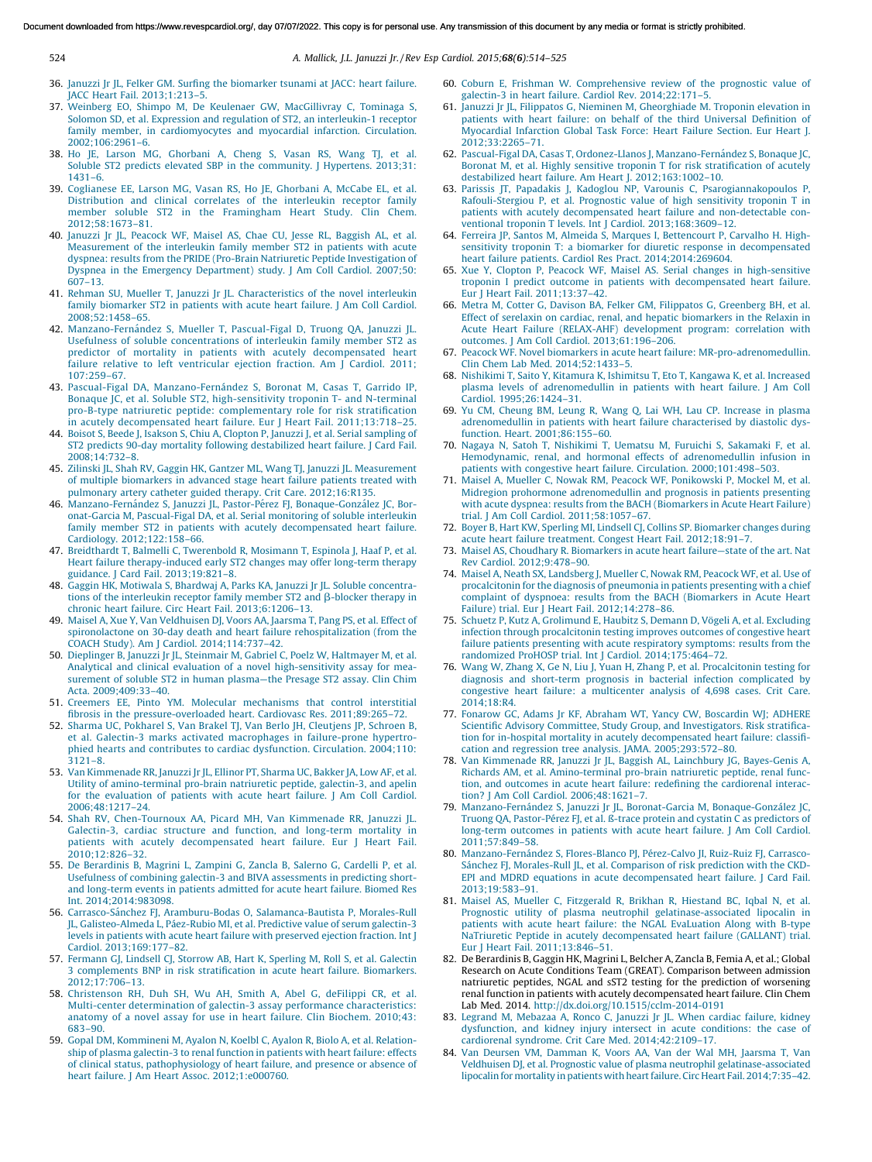#### <span id="page-10-0"></span>Document downloaded from https://www.revespcardiol.org/, day 07/07/2022. This copy is for personal use. Any transmission of this document by any media or format is strictly prohibited.

#### 524 *A. Mallick, J.L. Januzzi Jr. / Rev Esp Cardiol. 2015;*68(6)*:514–525*

- 36. Januzzi Jr JL, Felker GM. Surfing the [biomarker](http://refhub.elsevier.com/S1885-5857(15)00116-4/sbref0180) tsunami at JACC: heart failure. JACC Heart Fail. [2013;1:213–5](http://refhub.elsevier.com/S1885-5857(15)00116-4/sbref0180).
- 37. Weinberg EO, Shimpo M, De Keulenaer GW, [MacGillivray](http://refhub.elsevier.com/S1885-5857(15)00116-4/sbref0185) C, Tominaga S, Solomon SD, et al. Expression and regulation of ST2, an [interleukin-1](http://refhub.elsevier.com/S1885-5857(15)00116-4/sbref0185) receptor family member, in [cardiomyocytes](http://refhub.elsevier.com/S1885-5857(15)00116-4/sbref0185) and myocardial infarction. Circulation. [2002;106:2961–6](http://refhub.elsevier.com/S1885-5857(15)00116-4/sbref0185).
- 38. Ho JE, Larson MG, [Ghorbani](http://refhub.elsevier.com/S1885-5857(15)00116-4/sbref0190) A, Cheng S, Vasan RS, Wang TJ, et al. Soluble ST2 predicts elevated SBP in the [community.](http://refhub.elsevier.com/S1885-5857(15)00116-4/sbref0190) J Hypertens. 2013;31: [1431–6.](http://refhub.elsevier.com/S1885-5857(15)00116-4/sbref0190)
- 39. [Coglianese](http://refhub.elsevier.com/S1885-5857(15)00116-4/sbref0195) EE, Larson MG, Vasan RS, Ho JE, Ghorbani A, McCabe EL, et al. [Distribution](http://refhub.elsevier.com/S1885-5857(15)00116-4/sbref0195) and clinical correlates of the interleukin receptor family member soluble ST2 in the [Framingham](http://refhub.elsevier.com/S1885-5857(15)00116-4/sbref0195) Heart Study. Clin Chem. [2012;58:1673–81.](http://refhub.elsevier.com/S1885-5857(15)00116-4/sbref0195)
- 40. Januzzi Jr JL, [Peacock](http://refhub.elsevier.com/S1885-5857(15)00116-4/sbref0200) WF, Maisel AS, Chae CU, Jesse RL, Baggish AL, et al. [Measurement](http://refhub.elsevier.com/S1885-5857(15)00116-4/sbref0200) of the interleukin family member ST2 in patients with acute dyspnea: results from the PRIDE (Pro-Brain Natriuretic Peptide [Investigation](http://refhub.elsevier.com/S1885-5857(15)00116-4/sbref0200) of Dyspnea in the Emergency [Department\)](http://refhub.elsevier.com/S1885-5857(15)00116-4/sbref0200) study. J Am Coll Cardiol. 2007;50: [607–13](http://refhub.elsevier.com/S1885-5857(15)00116-4/sbref0200).
- 41. [Rehman](http://refhub.elsevier.com/S1885-5857(15)00116-4/sbref0205) SU, Mueller T, Januzzi Jr JL. [Characteristics](http://refhub.elsevier.com/S1885-5857(15)00116-4/sbref0205) of the novel interleukin family [biomarker](http://refhub.elsevier.com/S1885-5857(15)00116-4/sbref0205) ST2 in patients with acute heart failure. J Am Coll Cardiol. [2008;52:1458–65](http://refhub.elsevier.com/S1885-5857(15)00116-4/sbref0205).
- 42. Manzano-Fernández S, Mueller T, Pascual-Figal D, Truong QA, Januzzi JL. Usefulness of soluble [concentrations](http://refhub.elsevier.com/S1885-5857(15)00116-4/sbref0210) of interleukin family member ST2 as predictor of mortality in patients with acutely [decompensated](http://refhub.elsevier.com/S1885-5857(15)00116-4/sbref0210) heart failure relative to left [ventricular](http://refhub.elsevier.com/S1885-5857(15)00116-4/sbref0210) ejection fraction. Am J Cardiol. 2011; [107:259–67](http://refhub.elsevier.com/S1885-5857(15)00116-4/sbref0210).
- 43. Pascual-Figal DA, Manzano-Fernández S, Boronat M, Casas T, Garrido IP, Bonaque JC, et al. Soluble ST2, [high-sensitivity](http://refhub.elsevier.com/S1885-5857(15)00116-4/sbref0215) troponin T- and N-terminal pro-B-type natriuretic peptide: [complementary](http://refhub.elsevier.com/S1885-5857(15)00116-4/sbref0215) role for risk stratification in acutely decompensated heart failure. Eur J Heart Fail. [2011;13:718–25](http://refhub.elsevier.com/S1885-5857(15)00116-4/sbref0215).
- 44. Boisot S, Beede J, Isakson S, Chiu A, Clopton P, Januzzi J, et al. Serial [sampling](http://refhub.elsevier.com/S1885-5857(15)00116-4/sbref0220) of ST2 predicts 90-day mortality following [destabilized](http://refhub.elsevier.com/S1885-5857(15)00116-4/sbref0220) heart failure. J Card Fail. [2008;14:732–8](http://refhub.elsevier.com/S1885-5857(15)00116-4/sbref0220).
- 45. Zilinski JL, Shah RV, Gaggin HK, Gantzer ML, Wang TJ, Januzzi JL. [Measurement](http://refhub.elsevier.com/S1885-5857(15)00116-4/sbref0225) of multiple [biomarkers](http://refhub.elsevier.com/S1885-5857(15)00116-4/sbref0225) in advanced stage heart failure patients treated with pulmonary artery catheter guided therapy. Crit Care. [2012;16:R135](http://refhub.elsevier.com/S1885-5857(15)00116-4/sbref0225).
- 46. Manzano-Fernández S, Januzzi JL, Pastor-Pérez FJ, Bonaque-González JC, Boronat-Garcia M, [Pascual-Figal](http://refhub.elsevier.com/S1885-5857(15)00116-4/sbref0230) DA, et al. Serial monitoring of soluble interleukin family member ST2 in patients with acutely [decompensated](http://refhub.elsevier.com/S1885-5857(15)00116-4/sbref0230) heart failure. Cardiology. [2012;122:158–66.](http://refhub.elsevier.com/S1885-5857(15)00116-4/sbref0230)
- 47. Breidthardt T, Balmelli C, [Twerenbold](http://refhub.elsevier.com/S1885-5857(15)00116-4/sbref0235) R, Mosimann T, Espinola J, Haaf P, et al. Heart failure [therapy-induced](http://refhub.elsevier.com/S1885-5857(15)00116-4/sbref0235) early ST2 changes may offer long-term therapy guidance. J Card Fail. [2013;19:821–8](http://refhub.elsevier.com/S1885-5857(15)00116-4/sbref0235).
- 48. Gaggin HK, Motiwala S, [Bhardwaj](http://refhub.elsevier.com/S1885-5857(15)00116-4/sbref0240) A, Parks KA, Januzzi Jr JL. Soluble [concentra](http://refhub.elsevier.com/S1885-5857(15)00116-4/sbref0240)tions of the [interleukin](http://refhub.elsevier.com/S1885-5857(15)00116-4/sbref0240) receptor family mem[b](http://refhub.elsevier.com/S1885-5857(15)00116-4/sbref0240)er ST2 and  $\beta$ [-blocker](http://refhub.elsevier.com/S1885-5857(15)00116-4/sbref0240) therapy in chronic heart failure. Circ Heart Fail. [2013;6:1206–13](http://refhub.elsevier.com/S1885-5857(15)00116-4/sbref0240).
- 49. Maisel A, Xue Y, Van [Veldhuisen](http://refhub.elsevier.com/S1885-5857(15)00116-4/sbref0245) DJ, Voors AA, Jaarsma T, Pang PS, et al. Effect of spironolactone on 30-day death and heart failure [rehospitalization](http://refhub.elsevier.com/S1885-5857(15)00116-4/sbref0245) (from the COACH Study). Am J Cardiol. [2014;114:737–42.](http://refhub.elsevier.com/S1885-5857(15)00116-4/sbref0245)
- 50. [Dieplinger](http://refhub.elsevier.com/S1885-5857(15)00116-4/sbref0250) B, Januzzi Jr JL, Steinmair M, Gabriel C, Poelz W, [Haltmayer](http://refhub.elsevier.com/S1885-5857(15)00116-4/sbref0250) M, et al. Analytical and clinical evaluation of a novel [high-sensitivity](http://refhub.elsevier.com/S1885-5857(15)00116-4/sbref0250) assay for measurement of soluble ST2 in human [plasma—the](http://refhub.elsevier.com/S1885-5857(15)00116-4/sbref0250) Presage ST2 assay. Clin Chim Acta. [2009;409:33–40](http://refhub.elsevier.com/S1885-5857(15)00116-4/sbref0250).
- 51. Creemers EE, Pinto YM. Molecular [mechanisms](http://refhub.elsevier.com/S1885-5857(15)00116-4/sbref0255) that control interstitial fibrosis in the [pressure-overloaded](http://refhub.elsevier.com/S1885-5857(15)00116-4/sbref0255) heart. Cardiovasc Res. 2011;89:265–72.
- 52. Sharma UC, Pokharel S, Van Brakel TJ, Van Berlo JH, [Cleutjens](http://refhub.elsevier.com/S1885-5857(15)00116-4/sbref0260) JP, Schroen B, et al. Galectin-3 marks activated [macrophages](http://refhub.elsevier.com/S1885-5857(15)00116-4/sbref0260) in failure-prone hypertrophied hearts and contributes to cardiac [dysfunction.](http://refhub.elsevier.com/S1885-5857(15)00116-4/sbref0260) Circulation. 2004;110: [3121–8](http://refhub.elsevier.com/S1885-5857(15)00116-4/sbref0260).
- 53. Van [Kimmenade](http://refhub.elsevier.com/S1885-5857(15)00116-4/sbref0265) RR, Januzzi Jr JL, Ellinor PT, [Sharma](http://refhub.elsevier.com/S1885-5857(15)00116-4/sbref0265) UC, Bakker JA, Low AF, et al. Utility of [amino-terminal](http://refhub.elsevier.com/S1885-5857(15)00116-4/sbref0265) pro-brain natriuretic peptide, galectin-3, and apelin for the [evaluation](http://refhub.elsevier.com/S1885-5857(15)00116-4/sbref0265) of patients with acute heart failure. J Am Coll Cardiol. [2006;48:1217–24](http://refhub.elsevier.com/S1885-5857(15)00116-4/sbref0265).
- 54. Shah RV, [Chen-Tournoux](http://refhub.elsevier.com/S1885-5857(15)00116-4/sbref0270) AA, Picard MH, Van Kimmenade RR, Januzzi JL. [Galectin-3,](http://refhub.elsevier.com/S1885-5857(15)00116-4/sbref0270) cardiac structure and function, and long-term mortality in patients with acutely [decompensated](http://refhub.elsevier.com/S1885-5857(15)00116-4/sbref0270) heart failure. Eur J Heart Fail. [2010;12:826–32.](http://refhub.elsevier.com/S1885-5857(15)00116-4/sbref0270)
- 55. De [Berardinis](http://refhub.elsevier.com/S1885-5857(15)00116-4/sbref0275) B, Magrini L, Zampini G, Zancla B, Salerno G, Cardelli P, et al. Usefulness of combining galectin-3 and BIVA [assessments](http://refhub.elsevier.com/S1885-5857(15)00116-4/sbref0275) in predicting shortand [long-term](http://refhub.elsevier.com/S1885-5857(15)00116-4/sbref0275) events in patients admitted for acute heart failure. Biomed Res Int. [2014;2014:983098](http://refhub.elsevier.com/S1885-5857(15)00116-4/sbref0275).
- 56. Carrasco-Sánchez FJ, Aramburu-Bodas O, [Salamanca-Bautista](http://refhub.elsevier.com/S1885-5857(15)00116-4/sbref0280) P, Morales-Rull JL, [Galisteo-Almeda](http://refhub.elsevier.com/S1885-5857(15)00116-4/sbref0280) L, Páez-Rubio MI, et al. Predictive value of serum galectin-3 levels in patients with acute heart failure with [preserved](http://refhub.elsevier.com/S1885-5857(15)00116-4/sbref0280) ejection fraction. Int J Cardiol. [2013;169:177–82.](http://refhub.elsevier.com/S1885-5857(15)00116-4/sbref0280)
- 57. [Fermann](http://refhub.elsevier.com/S1885-5857(15)00116-4/sbref0285) GJ, Lindsell CJ, Storrow AB, Hart K, Sperling M, Roll S, et al. Galectin 3 [complements](http://refhub.elsevier.com/S1885-5857(15)00116-4/sbref0285) BNP in risk stratification in acute heart failure. Biomarkers. [2012;17:706–13](http://refhub.elsevier.com/S1885-5857(15)00116-4/sbref0285).
- 58. [Christenson](http://refhub.elsevier.com/S1885-5857(15)00116-4/sbref0290) RH, Duh SH, Wu AH, Smith A, Abel G, deFilippi CR, et al. Multi-center determination of galectin-3 assay performance [characteristics:](http://refhub.elsevier.com/S1885-5857(15)00116-4/sbref0290) anatomy of a novel assay for use in heart failure. Clin [Biochem.](http://refhub.elsevier.com/S1885-5857(15)00116-4/sbref0290) 2010;43: [683–90](http://refhub.elsevier.com/S1885-5857(15)00116-4/sbref0290).
- 59. Gopal DM, [Kommineni](http://refhub.elsevier.com/S1885-5857(15)00116-4/sbref0295) M, Ayalon N, Koelbl C, Ayalon R, Biolo A, et al. Relationship of plasma [galectin-3](http://refhub.elsevier.com/S1885-5857(15)00116-4/sbref0295) to renal function in patients with heart failure: effects of clinical status, [pathophysiology](http://refhub.elsevier.com/S1885-5857(15)00116-4/sbref0295) of heart failure, and presence or absence of heart failure. J Am Heart Assoc. [2012;1:e000760.](http://refhub.elsevier.com/S1885-5857(15)00116-4/sbref0295)
- 60. Coburn E, Frishman W. [Comprehensive](http://refhub.elsevier.com/S1885-5857(15)00116-4/sbref0300) review of the prognostic value of galectin-3 in heart failure. Cardiol Rev. [2014;22:171–5](http://refhub.elsevier.com/S1885-5857(15)00116-4/sbref0300).
- 61. Januzzi Jr JL, Filippatos G, Nieminen M, [Gheorghiade](http://refhub.elsevier.com/S1885-5857(15)00116-4/sbref0305) M. Troponin elevation in patients with heart failure: on behalf of the third Universal [Definition](http://refhub.elsevier.com/S1885-5857(15)00116-4/sbref0305) of [Myocardial](http://refhub.elsevier.com/S1885-5857(15)00116-4/sbref0305) Infarction Global Task Force: Heart Failure Section. Eur Heart J. [2012;33:2265–71](http://refhub.elsevier.com/S1885-5857(15)00116-4/sbref0305).
- 62. Pascual-Figal DA, Casas T, Ordonez-Llanos J, Manzano-Fernández S, Bonaque JC, Boronat M, et al. Highly sensitive troponin T for risk [stratification](http://refhub.elsevier.com/S1885-5857(15)00116-4/sbref0310) of acutely destabilized heart failure. Am Heart J. [2012;163:1002–10.](http://refhub.elsevier.com/S1885-5857(15)00116-4/sbref0310)
- 63. Parissis JT, Papadakis J, Kadoglou NP, Varounis C, [Psarogiannakopoulos](http://refhub.elsevier.com/S1885-5857(15)00116-4/sbref0315) P, [Rafouli-Stergiou](http://refhub.elsevier.com/S1885-5857(15)00116-4/sbref0315) P, et al. Prognostic value of high sensitivity troponin T in patients with acutely [decompensated](http://refhub.elsevier.com/S1885-5857(15)00116-4/sbref0315) heart failure and non-detectable conventional troponin T levels. Int J Cardiol. [2013;168:3609–12.](http://refhub.elsevier.com/S1885-5857(15)00116-4/sbref0315)
- 64. Ferreira JP, Santos M, Almeida S, Marques I, [Bettencourt](http://refhub.elsevier.com/S1885-5857(15)00116-4/sbref0320) P, Carvalho H. Highsensitivity troponin T: a biomarker for diuretic response in [decompensated](http://refhub.elsevier.com/S1885-5857(15)00116-4/sbref0320) heart failure patients. Cardiol Res Pract. [2014;2014:269604.](http://refhub.elsevier.com/S1885-5857(15)00116-4/sbref0320)
- 65. Xue Y, Clopton P, Peacock WF, Maisel AS. Serial changes in [high-sensitive](http://refhub.elsevier.com/S1885-5857(15)00116-4/sbref0325) troponin I predict outcome in patients with [decompensated](http://refhub.elsevier.com/S1885-5857(15)00116-4/sbref0325) heart failure. Eur J Heart Fail. [2011;13:37–42](http://refhub.elsevier.com/S1885-5857(15)00116-4/sbref0325).
- 66. Metra M, Cotter G, Davison BA, Felker GM, Filippatos G, [Greenberg](http://refhub.elsevier.com/S1885-5857(15)00116-4/sbref0330) BH, et al. Effect of serelaxin on cardiac, renal, and hepatic [biomarkers](http://refhub.elsevier.com/S1885-5857(15)00116-4/sbref0330) in the Relaxin in Acute Heart Failure [\(RELAX-AHF\)](http://refhub.elsevier.com/S1885-5857(15)00116-4/sbref0330) development program: correlation with outcomes. J Am Coll Cardiol. [2013;61:196–206](http://refhub.elsevier.com/S1885-5857(15)00116-4/sbref0330).
- 67. Peacock WF. Novel biomarkers in acute heart failure: [MR-pro-adrenomedullin.](http://refhub.elsevier.com/S1885-5857(15)00116-4/sbref0335) Clin Chem Lab Med. [2014;52:1433–5.](http://refhub.elsevier.com/S1885-5857(15)00116-4/sbref0335)
- 68. [Nishikimi](http://refhub.elsevier.com/S1885-5857(15)00116-4/sbref0340) T, Saito Y, Kitamura K, Ishimitsu T, Eto T, Kangawa K, et al. Increased plasma levels of [adrenomedullin](http://refhub.elsevier.com/S1885-5857(15)00116-4/sbref0340) in patients with heart failure. J Am Coll Cardiol. [1995;26:1424–31.](http://refhub.elsevier.com/S1885-5857(15)00116-4/sbref0340)
- 69. Yu CM, Cheung BM, Leung R, Wang Q, Lai WH, Lau CP. [Increase](http://refhub.elsevier.com/S1885-5857(15)00116-4/sbref0345) in plasma [adrenomedullin](http://refhub.elsevier.com/S1885-5857(15)00116-4/sbref0345) in patients with heart failure characterised by diastolic dysfunction. Heart. [2001;86:155–60](http://refhub.elsevier.com/S1885-5857(15)00116-4/sbref0345).
- 70. Nagaya N, Satoh T, [Nishikimi](http://refhub.elsevier.com/S1885-5857(15)00116-4/sbref0350) T, Uematsu M, Furuichi S, Sakamaki F, et al. Hemodynamic, renal, and hormonal effects of [adrenomedullin](http://refhub.elsevier.com/S1885-5857(15)00116-4/sbref0350) infusion in patients with congestive heart failure. Circulation. [2000;101:498–503.](http://refhub.elsevier.com/S1885-5857(15)00116-4/sbref0350)
- 71. Maisel A, Mueller C, Nowak RM, Peacock WF, [Ponikowski](http://refhub.elsevier.com/S1885-5857(15)00116-4/sbref0355) P, Mockel M, et al. Midregion prohormone [adrenomedullin](http://refhub.elsevier.com/S1885-5857(15)00116-4/sbref0355) and prognosis in patients presenting with acute dyspnea: results from the BACH [\(Biomarkers](http://refhub.elsevier.com/S1885-5857(15)00116-4/sbref0355) in Acute Heart Failure) trial. J Am Coll Cardiol. [2011;58:1057–67](http://refhub.elsevier.com/S1885-5857(15)00116-4/sbref0355).
- 72. Boyer B, Hart KW, Sperling MI, Lindsell CJ, Collins SP. [Biomarker](http://refhub.elsevier.com/S1885-5857(15)00116-4/sbref0360) changes during acute heart failure treatment. Congest Heart Fail. [2012;18:91–7.](http://refhub.elsevier.com/S1885-5857(15)00116-4/sbref0360)
- 73. Maisel AS, Choudhary R. Biomarkers in acute heart [failure—state](http://refhub.elsevier.com/S1885-5857(15)00116-4/sbref0365) of the art. Nat Rev Cardiol. [2012;9:478–90](http://refhub.elsevier.com/S1885-5857(15)00116-4/sbref0365).
- 74. Maisel A, Neath SX, [Landsberg](http://refhub.elsevier.com/S1885-5857(15)00116-4/sbref0370) J, Mueller C, Nowak RM, Peacock WF, et al. Use of [procalcitonin](http://refhub.elsevier.com/S1885-5857(15)00116-4/sbref0370) for the diagnosis of pneumonia in patients presenting with a chief complaint of dyspnoea: results from the BACH [\(Biomarkers](http://refhub.elsevier.com/S1885-5857(15)00116-4/sbref0370) in Acute Heart Failure) trial. Eur J Heart Fail. [2012;14:278–86](http://refhub.elsevier.com/S1885-5857(15)00116-4/sbref0370).
- 75. Schuetz P, Kutz A, [Grolimund](http://refhub.elsevier.com/S1885-5857(15)00116-4/sbref0375) E, Haubitz S, Demann D, Vögeli A, et al. Excluding infection through [procalcitonin](http://refhub.elsevier.com/S1885-5857(15)00116-4/sbref0375) testing improves outcomes of congestive heart failure patients presenting with acute respiratory [symptoms:](http://refhub.elsevier.com/S1885-5857(15)00116-4/sbref0375) results from the randomized ProHOSP trial. Int J Cardiol. [2014;175:464–72](http://refhub.elsevier.com/S1885-5857(15)00116-4/sbref0375).
- 76. Wang W, Zhang X, Ge N, Liu J, Yuan H, Zhang P, et al. [Procalcitonin](http://refhub.elsevier.com/S1885-5857(15)00116-4/sbref0380) testing for diagnosis and short-term prognosis in bacterial infection [complicated](http://refhub.elsevier.com/S1885-5857(15)00116-4/sbref0380) by congestive heart failure: a [multicenter](http://refhub.elsevier.com/S1885-5857(15)00116-4/sbref0380) analysis of 4,698 cases. Crit Care. [2014;18:R4](http://refhub.elsevier.com/S1885-5857(15)00116-4/sbref0380).
- 77. [Fonarow](http://refhub.elsevier.com/S1885-5857(15)00116-4/sbref0385) GC, Adams Jr KF, Abraham WT, Yancy CW, [Boscardin](http://refhub.elsevier.com/S1885-5857(15)00116-4/sbref0385) WJ; ADHERE Scientific Advisory Committee, Study Group, and [Investigators.](http://refhub.elsevier.com/S1885-5857(15)00116-4/sbref0385) Risk stratification for in-hospital mortality in acutely [decompensated](http://refhub.elsevier.com/S1885-5857(15)00116-4/sbref0385) heart failure: classification and regression tree analysis. JAMA. [2005;293:572–80.](http://refhub.elsevier.com/S1885-5857(15)00116-4/sbref0385)
- 78. Van [Kimmenade](http://refhub.elsevier.com/S1885-5857(15)00116-4/sbref0390) RR, Januzzi Jr JL, Baggish AL, Lainchbury JG, [Bayes-Genis](http://refhub.elsevier.com/S1885-5857(15)00116-4/sbref0390) A, Richards AM, et al. [Amino-terminal](http://refhub.elsevier.com/S1885-5857(15)00116-4/sbref0390) pro-brain natriuretic peptide, renal function, and outcomes in acute heart failure: redefining the [cardiorenal](http://refhub.elsevier.com/S1885-5857(15)00116-4/sbref0390) interaction? J Am Coll Cardiol. [2006;48:1621–7.](http://refhub.elsevier.com/S1885-5857(15)00116-4/sbref0390)
- 79. Manzano-Fernández S, Januzzi Jr JL, Boronat-Garcia M, Bonaque-González JC, Truong QA, Pastor-Pérez FJ, et al. ß-trace protein and cystatin C as [predictors](http://refhub.elsevier.com/S1885-5857(15)00116-4/sbref0395) of [long-term](http://refhub.elsevier.com/S1885-5857(15)00116-4/sbref0395) outcomes in patients with acute heart failure. J Am Coll Cardiol. [2011;57:849–58](http://refhub.elsevier.com/S1885-5857(15)00116-4/sbref0395).
- 80. Manzano-Fernández S, Flores-Blanco PJ, Pérez-Calvo JI, Ruiz-Ruiz FJ, Carrasco-Sánchez FJ, [Morales-Rull](http://refhub.elsevier.com/S1885-5857(15)00116-4/sbref0400) JL, et al. Comparison of risk prediction with the CKD-EPI and MDRD equations in acute [decompensated](http://refhub.elsevier.com/S1885-5857(15)00116-4/sbref0400) heart failure. J Card Fail. [2013;19:583–91](http://refhub.elsevier.com/S1885-5857(15)00116-4/sbref0400).
- 81. Maisel AS, Mueller C, [Fitzgerald](http://refhub.elsevier.com/S1885-5857(15)00116-4/sbref0405) R, Brikhan R, Hiestand BC, Iqbal N, et al. Prognostic utility of plasma neutrophil [gelatinase-associated](http://refhub.elsevier.com/S1885-5857(15)00116-4/sbref0405) lipocalin in patients with acute heart failure: the NGAL [EvaLuation](http://refhub.elsevier.com/S1885-5857(15)00116-4/sbref0405) Along with B-type NaTriuretic Peptide in acutely [decompensated](http://refhub.elsevier.com/S1885-5857(15)00116-4/sbref0405) heart failure (GALLANT) trial. Eur J Heart Fail. [2011;13:846–51](http://refhub.elsevier.com/S1885-5857(15)00116-4/sbref0405).
- 82. De Berardinis B, Gaggin HK, Magrini L, Belcher A, Zancla B, Femia A, et al.; Global Research on Acute Conditions Team (GREAT). Comparison between admission natriuretic peptides, NGAL and sST2 testing for the prediction of worsening renal function in patients with acutely decompensated heart failure. Clin Chem Lab Med. 2014. <http://dx.doi.org/10.1515/cclm-2014-0191>
- 83. Legrand M, [Mebazaa](http://refhub.elsevier.com/S1885-5857(15)00116-4/sbref0415) A, Ronco C, [Januzzi](http://refhub.elsevier.com/S1885-5857(15)00116-4/sbref0415) Jr JL. When cardiac failure, kidney [dysfunction,](http://refhub.elsevier.com/S1885-5857(15)00116-4/sbref0415) and kidney injury intersect in acute conditions: the case of cardiorenal syndrome. Crit Care Med. [2014;42:2109–17.](http://refhub.elsevier.com/S1885-5857(15)00116-4/sbref0415)
- 84. Van Deursen VM, [Damman](http://refhub.elsevier.com/S1885-5857(15)00116-4/sbref0420) K, Voors AA, Van der Wal MH, Jaarsma T, Van Veldhuisen DJ, et al. Prognostic value of plasma neutrophil [gelatinase-associated](http://refhub.elsevier.com/S1885-5857(15)00116-4/sbref0420) lipocalin for mortality in patients with heart failure. Circ Heart Fail. 2014;7:35-42.